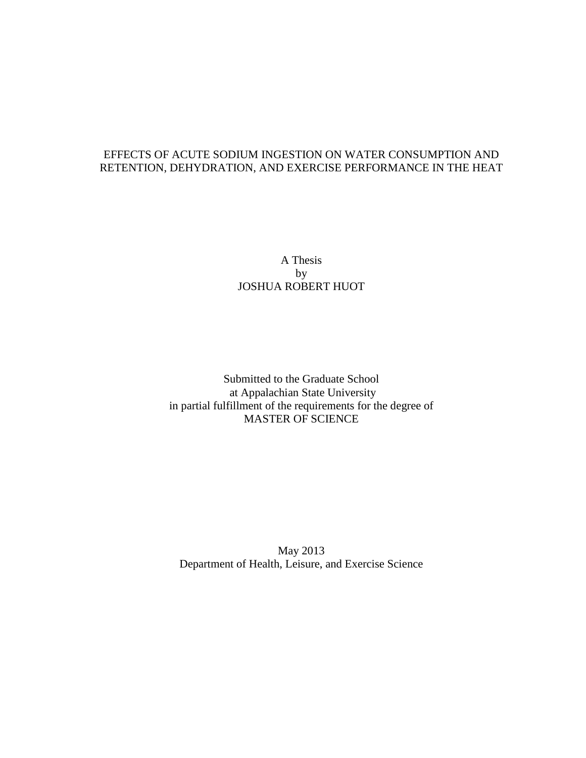# EFFECTS OF ACUTE SODIUM INGESTION ON WATER CONSUMPTION AND RETENTION, DEHYDRATION, AND EXERCISE PERFORMANCE IN THE HEAT

# A Thesis by JOSHUA ROBERT HUOT

Submitted to the Graduate School at Appalachian State University in partial fulfillment of the requirements for the degree of MASTER OF SCIENCE

May 2013 Department of Health, Leisure, and Exercise Science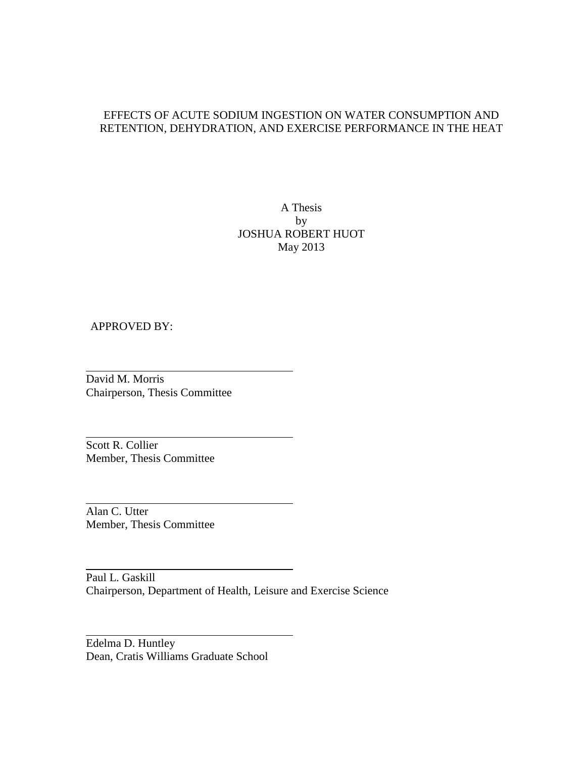# EFFECTS OF ACUTE SODIUM INGESTION ON WATER CONSUMPTION AND RETENTION, DEHYDRATION, AND EXERCISE PERFORMANCE IN THE HEAT

A Thesis by JOSHUA ROBERT HUOT May 2013

# APPROVED BY:

David M. Morris Chairperson, Thesis Committee

Scott R. Collier Member, Thesis Committee

Alan C. Utter Member, Thesis Committee

Paul L. Gaskill Chairperson, Department of Health, Leisure and Exercise Science

Edelma D. Huntley Dean, Cratis Williams Graduate School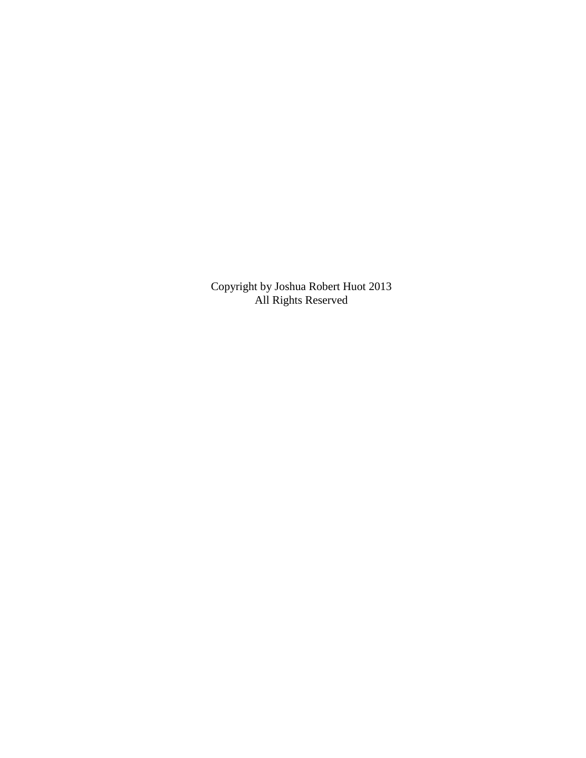Copyright by Joshua Robert Huot 2013 All Rights Reserved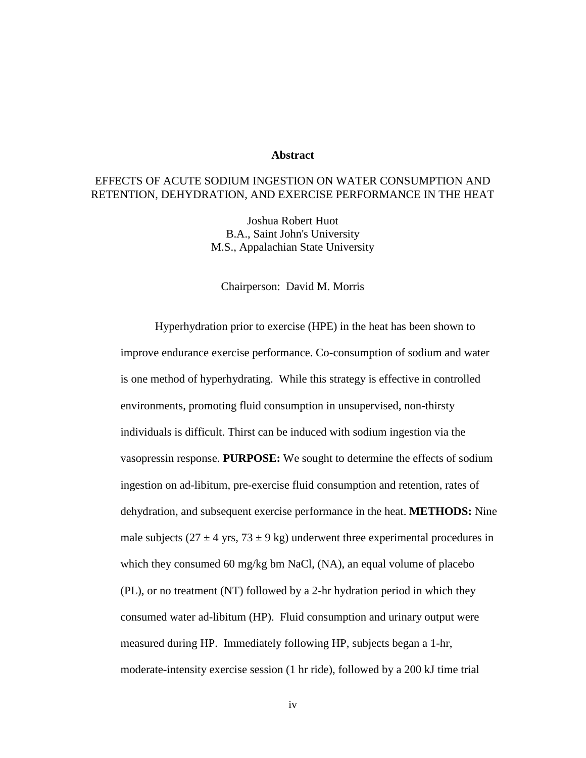#### **Abstract**

# EFFECTS OF ACUTE SODIUM INGESTION ON WATER CONSUMPTION AND RETENTION, DEHYDRATION, AND EXERCISE PERFORMANCE IN THE HEAT

Joshua Robert Huot B.A., Saint John's University M.S., Appalachian State University

#### Chairperson: David M. Morris

Hyperhydration prior to exercise (HPE) in the heat has been shown to improve endurance exercise performance. Co-consumption of sodium and water is one method of hyperhydrating. While this strategy is effective in controlled environments, promoting fluid consumption in unsupervised, non-thirsty individuals is difficult. Thirst can be induced with sodium ingestion via the vasopressin response. **PURPOSE:** We sought to determine the effects of sodium ingestion on ad-libitum, pre-exercise fluid consumption and retention, rates of dehydration, and subsequent exercise performance in the heat. **METHODS:** Nine male subjects ( $27 \pm 4$  yrs,  $73 \pm 9$  kg) underwent three experimental procedures in which they consumed 60 mg/kg bm NaCl, (NA), an equal volume of placebo (PL), or no treatment (NT) followed by a 2-hr hydration period in which they consumed water ad-libitum (HP). Fluid consumption and urinary output were measured during HP. Immediately following HP, subjects began a 1-hr, moderate-intensity exercise session (1 hr ride), followed by a 200 kJ time trial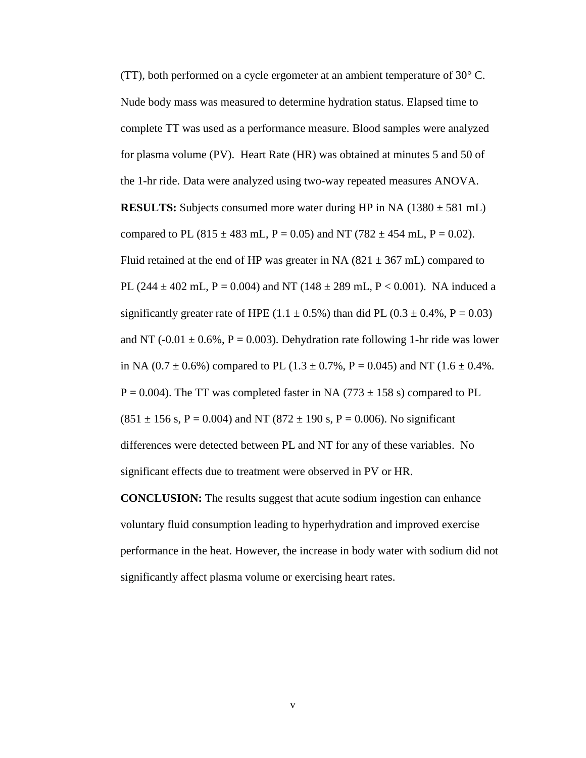(TT), both performed on a cycle ergometer at an ambient temperature of  $30^{\circ}$  C. Nude body mass was measured to determine hydration status. Elapsed time to complete TT was used as a performance measure. Blood samples were analyzed for plasma volume (PV). Heart Rate (HR) was obtained at minutes 5 and 50 of the 1-hr ride. Data were analyzed using two-way repeated measures ANOVA. **RESULTS:** Subjects consumed more water during HP in NA  $(1380 \pm 581 \text{ mL})$ compared to PL (815  $\pm$  483 mL, P = 0.05) and NT (782  $\pm$  454 mL, P = 0.02). Fluid retained at the end of HP was greater in NA  $(821 \pm 367 \text{ mL})$  compared to PL (244  $\pm$  402 mL, P = 0.004) and NT (148  $\pm$  289 mL, P < 0.001). NA induced a significantly greater rate of HPE (1.1  $\pm$  0.5%) than did PL (0.3  $\pm$  0.4%, P = 0.03) and NT (-0.01  $\pm$  0.6%, P = 0.003). Dehydration rate following 1-hr ride was lower in NA  $(0.7 \pm 0.6\%)$  compared to PL  $(1.3 \pm 0.7\%, P = 0.045)$  and NT  $(1.6 \pm 0.4\%$ .  $P = 0.004$ ). The TT was completed faster in NA (773  $\pm$  158 s) compared to PL  $(851 \pm 156 \text{ s}, P = 0.004)$  and NT  $(872 \pm 190 \text{ s}, P = 0.006)$ . No significant differences were detected between PL and NT for any of these variables. No significant effects due to treatment were observed in PV or HR.

**CONCLUSION:** The results suggest that acute sodium ingestion can enhance voluntary fluid consumption leading to hyperhydration and improved exercise performance in the heat. However, the increase in body water with sodium did not significantly affect plasma volume or exercising heart rates.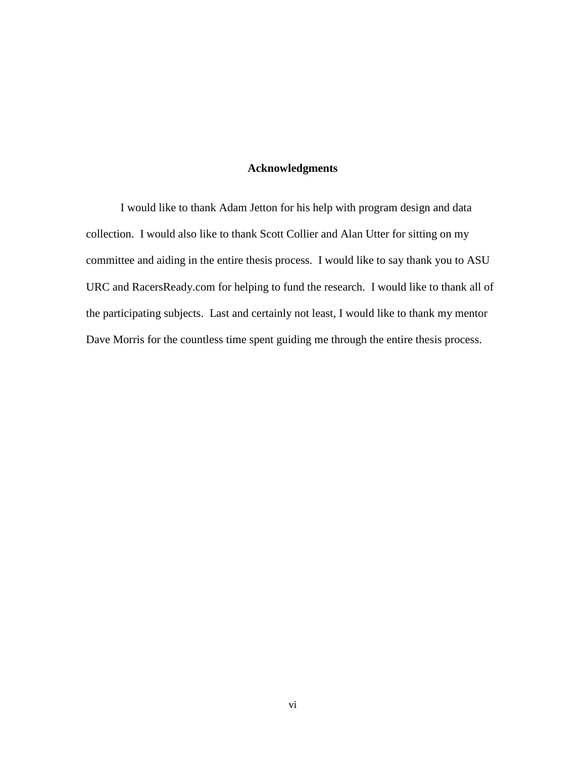# **Acknowledgments**

I would like to thank Adam Jetton for his help with program design and data collection. I would also like to thank Scott Collier and Alan Utter for sitting on my committee and aiding in the entire thesis process. I would like to say thank you to ASU URC and RacersReady.com for helping to fund the research. I would like to thank all of the participating subjects. Last and certainly not least, I would like to thank my mentor Dave Morris for the countless time spent guiding me through the entire thesis process.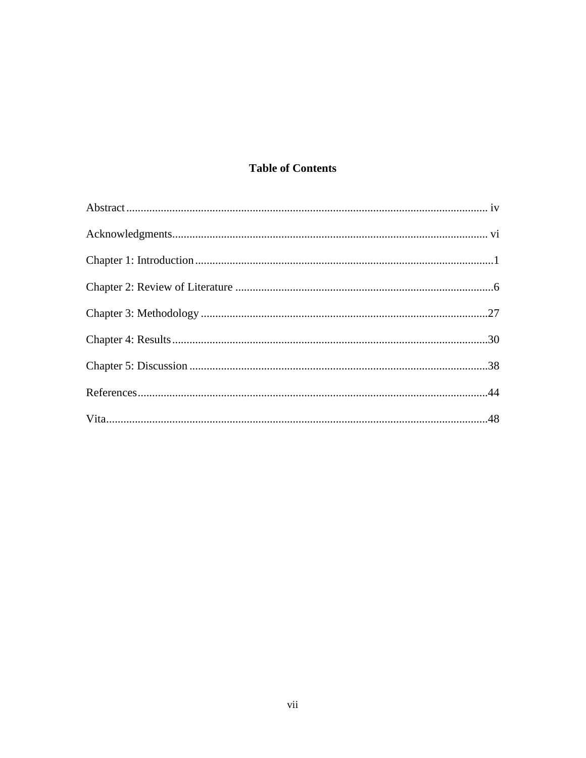# **Table of Contents**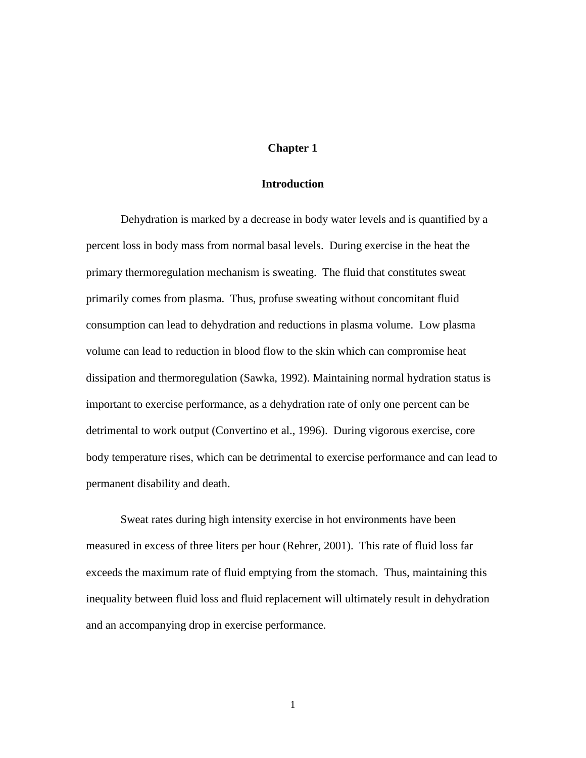## **Chapter 1**

#### **Introduction**

Dehydration is marked by a decrease in body water levels and is quantified by a percent loss in body mass from normal basal levels. During exercise in the heat the primary thermoregulation mechanism is sweating. The fluid that constitutes sweat primarily comes from plasma. Thus, profuse sweating without concomitant fluid consumption can lead to dehydration and reductions in plasma volume. Low plasma volume can lead to reduction in blood flow to the skin which can compromise heat dissipation and thermoregulation (Sawka, 1992). Maintaining normal hydration status is important to exercise performance, as a dehydration rate of only one percent can be detrimental to work output (Convertino et al., 1996). During vigorous exercise, core body temperature rises, which can be detrimental to exercise performance and can lead to permanent disability and death.

Sweat rates during high intensity exercise in hot environments have been measured in excess of three liters per hour (Rehrer, 2001). This rate of fluid loss far exceeds the maximum rate of fluid emptying from the stomach. Thus, maintaining this inequality between fluid loss and fluid replacement will ultimately result in dehydration and an accompanying drop in exercise performance.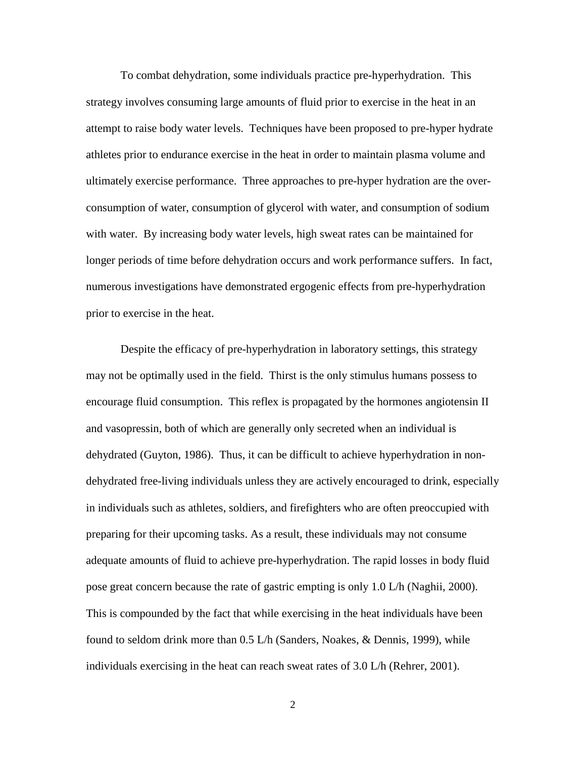To combat dehydration, some individuals practice pre-hyperhydration. This strategy involves consuming large amounts of fluid prior to exercise in the heat in an attempt to raise body water levels. Techniques have been proposed to pre-hyper hydrate athletes prior to endurance exercise in the heat in order to maintain plasma volume and ultimately exercise performance. Three approaches to pre-hyper hydration are the overconsumption of water, consumption of glycerol with water, and consumption of sodium with water. By increasing body water levels, high sweat rates can be maintained for longer periods of time before dehydration occurs and work performance suffers. In fact, numerous investigations have demonstrated ergogenic effects from pre-hyperhydration prior to exercise in the heat.

Despite the efficacy of pre-hyperhydration in laboratory settings, this strategy may not be optimally used in the field. Thirst is the only stimulus humans possess to encourage fluid consumption. This reflex is propagated by the hormones angiotensin II and vasopressin, both of which are generally only secreted when an individual is dehydrated (Guyton, 1986). Thus, it can be difficult to achieve hyperhydration in nondehydrated free-living individuals unless they are actively encouraged to drink, especially in individuals such as athletes, soldiers, and firefighters who are often preoccupied with preparing for their upcoming tasks. As a result, these individuals may not consume adequate amounts of fluid to achieve pre-hyperhydration. The rapid losses in body fluid pose great concern because the rate of gastric empting is only 1.0 L/h (Naghii, 2000). This is compounded by the fact that while exercising in the heat individuals have been found to seldom drink more than 0.5 L/h (Sanders, Noakes, & Dennis, 1999), while individuals exercising in the heat can reach sweat rates of 3.0 L/h (Rehrer, 2001).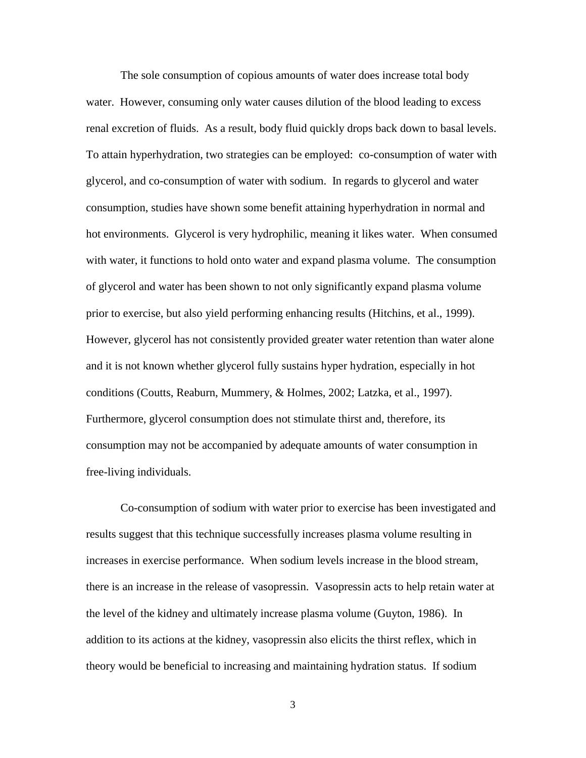The sole consumption of copious amounts of water does increase total body water. However, consuming only water causes dilution of the blood leading to excess renal excretion of fluids. As a result, body fluid quickly drops back down to basal levels. To attain hyperhydration, two strategies can be employed: co-consumption of water with glycerol, and co-consumption of water with sodium. In regards to glycerol and water consumption, studies have shown some benefit attaining hyperhydration in normal and hot environments. Glycerol is very hydrophilic, meaning it likes water. When consumed with water, it functions to hold onto water and expand plasma volume. The consumption of glycerol and water has been shown to not only significantly expand plasma volume prior to exercise, but also yield performing enhancing results (Hitchins, et al., 1999). However, glycerol has not consistently provided greater water retention than water alone and it is not known whether glycerol fully sustains hyper hydration, especially in hot conditions (Coutts, Reaburn, Mummery, & Holmes, 2002; Latzka, et al., 1997). Furthermore, glycerol consumption does not stimulate thirst and, therefore, its consumption may not be accompanied by adequate amounts of water consumption in free-living individuals.

Co-consumption of sodium with water prior to exercise has been investigated and results suggest that this technique successfully increases plasma volume resulting in increases in exercise performance. When sodium levels increase in the blood stream, there is an increase in the release of vasopressin. Vasopressin acts to help retain water at the level of the kidney and ultimately increase plasma volume (Guyton, 1986). In addition to its actions at the kidney, vasopressin also elicits the thirst reflex, which in theory would be beneficial to increasing and maintaining hydration status. If sodium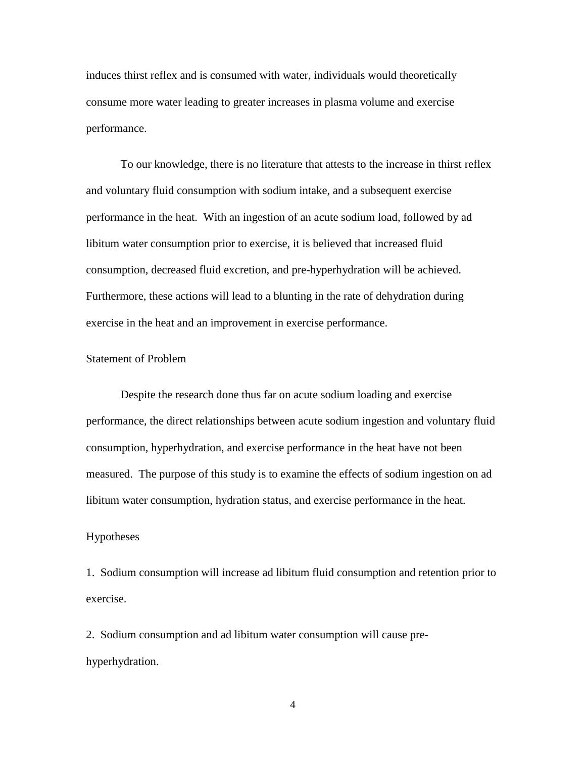induces thirst reflex and is consumed with water, individuals would theoretically consume more water leading to greater increases in plasma volume and exercise performance.

To our knowledge, there is no literature that attests to the increase in thirst reflex and voluntary fluid consumption with sodium intake, and a subsequent exercise performance in the heat. With an ingestion of an acute sodium load, followed by ad libitum water consumption prior to exercise, it is believed that increased fluid consumption, decreased fluid excretion, and pre-hyperhydration will be achieved. Furthermore, these actions will lead to a blunting in the rate of dehydration during exercise in the heat and an improvement in exercise performance.

#### Statement of Problem

Despite the research done thus far on acute sodium loading and exercise performance, the direct relationships between acute sodium ingestion and voluntary fluid consumption, hyperhydration, and exercise performance in the heat have not been measured. The purpose of this study is to examine the effects of sodium ingestion on ad libitum water consumption, hydration status, and exercise performance in the heat.

## Hypotheses

1. Sodium consumption will increase ad libitum fluid consumption and retention prior to exercise.

2. Sodium consumption and ad libitum water consumption will cause prehyperhydration.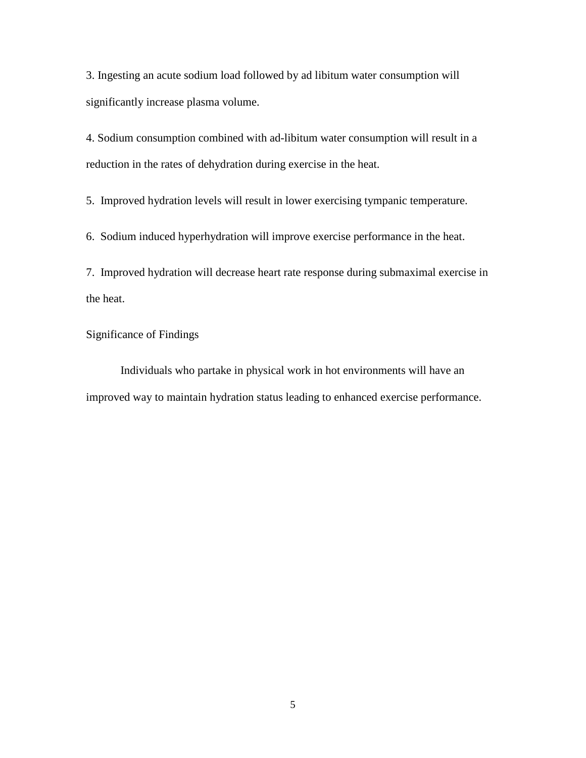3. Ingesting an acute sodium load followed by ad libitum water consumption will significantly increase plasma volume.

4. Sodium consumption combined with ad-libitum water consumption will result in a reduction in the rates of dehydration during exercise in the heat.

5. Improved hydration levels will result in lower exercising tympanic temperature.

6. Sodium induced hyperhydration will improve exercise performance in the heat.

7. Improved hydration will decrease heart rate response during submaximal exercise in the heat.

# Significance of Findings

Individuals who partake in physical work in hot environments will have an improved way to maintain hydration status leading to enhanced exercise performance.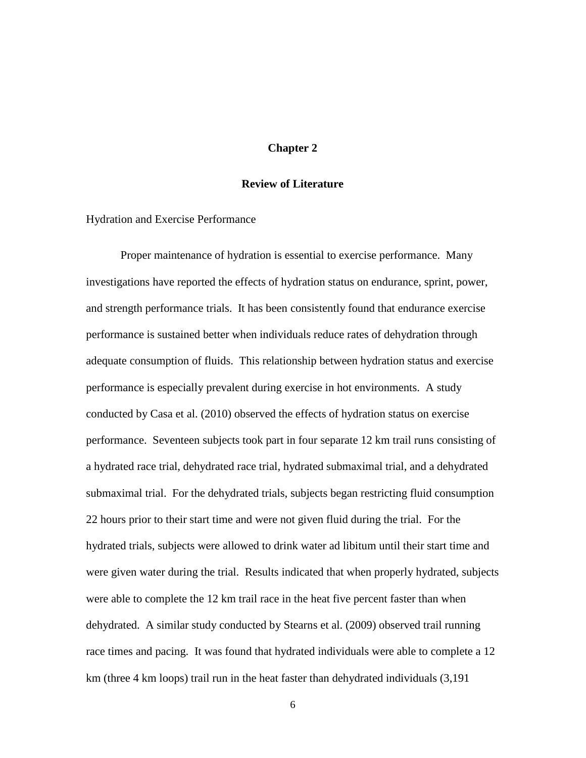## **Chapter 2**

#### **Review of Literature**

#### Hydration and Exercise Performance

Proper maintenance of hydration is essential to exercise performance. Many investigations have reported the effects of hydration status on endurance, sprint, power, and strength performance trials. It has been consistently found that endurance exercise performance is sustained better when individuals reduce rates of dehydration through adequate consumption of fluids. This relationship between hydration status and exercise performance is especially prevalent during exercise in hot environments. A study conducted by Casa et al. (2010) observed the effects of hydration status on exercise performance. Seventeen subjects took part in four separate 12 km trail runs consisting of a hydrated race trial, dehydrated race trial, hydrated submaximal trial, and a dehydrated submaximal trial. For the dehydrated trials, subjects began restricting fluid consumption 22 hours prior to their start time and were not given fluid during the trial. For the hydrated trials, subjects were allowed to drink water ad libitum until their start time and were given water during the trial. Results indicated that when properly hydrated, subjects were able to complete the 12 km trail race in the heat five percent faster than when dehydrated. A similar study conducted by Stearns et al. (2009) observed trail running race times and pacing. It was found that hydrated individuals were able to complete a 12 km (three 4 km loops) trail run in the heat faster than dehydrated individuals (3,191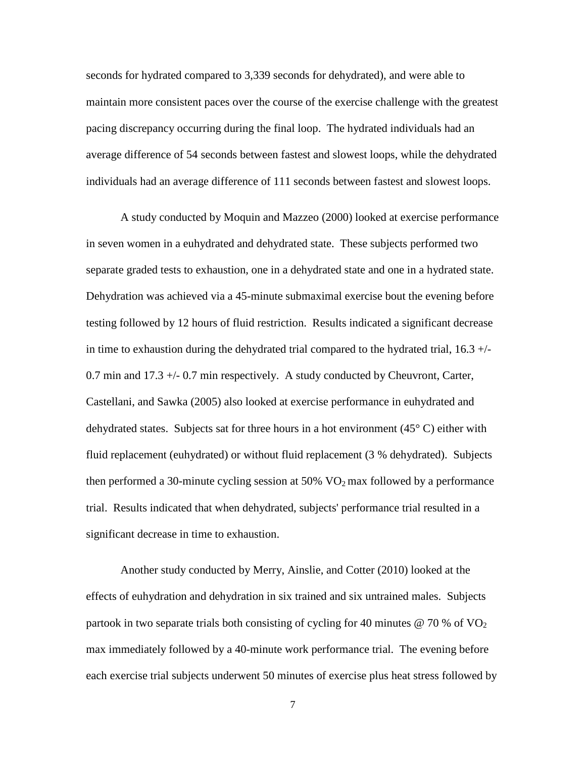seconds for hydrated compared to 3,339 seconds for dehydrated), and were able to maintain more consistent paces over the course of the exercise challenge with the greatest pacing discrepancy occurring during the final loop. The hydrated individuals had an average difference of 54 seconds between fastest and slowest loops, while the dehydrated individuals had an average difference of 111 seconds between fastest and slowest loops.

A study conducted by [Moquin](http://www.ncbi.nlm.nih.gov/pubmed?term=Moquin%20A%5BAuthor%5D&cauthor=true&cauthor_uid=10694123) and [Mazzeo](http://www.ncbi.nlm.nih.gov/pubmed?term=Mazzeo%20RS%5BAuthor%5D&cauthor=true&cauthor_uid=10694123) (2000) looked at exercise performance in seven women in a euhydrated and dehydrated state. These subjects performed two separate graded tests to exhaustion, one in a dehydrated state and one in a hydrated state. Dehydration was achieved via a 45-minute submaximal exercise bout the evening before testing followed by 12 hours of fluid restriction. Results indicated a significant decrease in time to exhaustion during the dehydrated trial compared to the hydrated trial,  $16.3 +/-$ 0.7 min and 17.3 +/- 0.7 min respectively. A study conducted by Cheuvront, Carter, Castellani, and Sawka (2005) also looked at exercise performance in euhydrated and dehydrated states. Subjects sat for three hours in a hot environment  $(45^{\circ} \text{ C})$  either with fluid replacement (euhydrated) or without fluid replacement (3 % dehydrated). Subjects then performed a 30-minute cycling session at  $50\%$  VO<sub>2</sub> max followed by a performance trial. Results indicated that when dehydrated, subjects' performance trial resulted in a significant decrease in time to exhaustion.

Another study conducted by Merry, Ainslie, and Cotter (2010) looked at the effects of euhydration and dehydration in six trained and six untrained males. Subjects partook in two separate trials both consisting of cycling for 40 minutes  $\omega$  70 % of VO<sub>2</sub> max immediately followed by a 40-minute work performance trial. The evening before each exercise trial subjects underwent 50 minutes of exercise plus heat stress followed by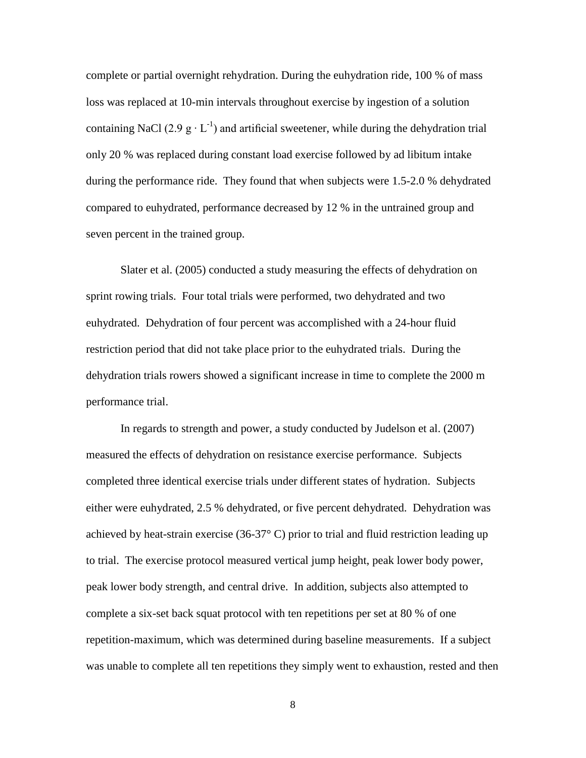complete or partial overnight rehydration. During the euhydration ride, 100 % of mass loss was replaced at 10-min intervals throughout exercise by ingestion of a solution containing NaCl (2.9  $g \cdot L^{-1}$ ) and artificial sweetener, while during the dehydration trial only 20 % was replaced during constant load exercise followed by ad libitum intake during the performance ride. They found that when subjects were 1.5-2.0 % dehydrated compared to euhydrated, performance decreased by 12 % in the untrained group and seven percent in the trained group.

Slater et al. (2005) conducted a study measuring the effects of dehydration on sprint rowing trials. Four total trials were performed, two dehydrated and two euhydrated. Dehydration of four percent was accomplished with a 24-hour fluid restriction period that did not take place prior to the euhydrated trials. During the dehydration trials rowers showed a significant increase in time to complete the 2000 m performance trial.

In regards to strength and power, a study conducted by Judelson et al. (2007) measured the effects of dehydration on resistance exercise performance. Subjects completed three identical exercise trials under different states of hydration. Subjects either were euhydrated, 2.5 % dehydrated, or five percent dehydrated. Dehydration was achieved by heat-strain exercise (36-37° C) prior to trial and fluid restriction leading up to trial. The exercise protocol measured vertical jump height, peak lower body power, peak lower body strength, and central drive. In addition, subjects also attempted to complete a six-set back squat protocol with ten repetitions per set at 80 % of one repetition-maximum, which was determined during baseline measurements. If a subject was unable to complete all ten repetitions they simply went to exhaustion, rested and then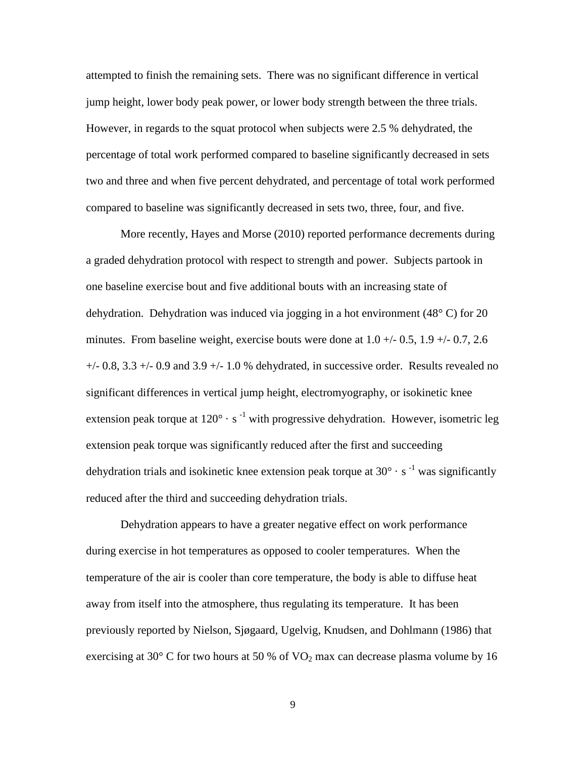attempted to finish the remaining sets. There was no significant difference in vertical jump height, lower body peak power, or lower body strength between the three trials. However, in regards to the squat protocol when subjects were 2.5 % dehydrated, the percentage of total work performed compared to baseline significantly decreased in sets two and three and when five percent dehydrated, and percentage of total work performed compared to baseline was significantly decreased in sets two, three, four, and five.

More recently, Hayes and Morse (2010) reported performance decrements during a graded dehydration protocol with respect to strength and power. Subjects partook in one baseline exercise bout and five additional bouts with an increasing state of dehydration. Dehydration was induced via jogging in a hot environment (48° C) for 20 minutes. From baseline weight, exercise bouts were done at  $1.0 +/- 0.5$ ,  $1.9 +/- 0.7$ ,  $2.6$  $+/- 0.8$ , 3.3  $+/- 0.9$  and 3.9  $+/- 1.0$  % dehydrated, in successive order. Results revealed no significant differences in vertical jump height, electromyography, or isokinetic knee extension peak torque at  $120^{\circ} \cdot s^{-1}$  with progressive dehydration. However, isometric leg extension peak torque was significantly reduced after the first and succeeding dehydration trials and isokinetic knee extension peak torque at  $30^{\circ} \cdot s^{-1}$  was significantly reduced after the third and succeeding dehydration trials.

Dehydration appears to have a greater negative effect on work performance during exercise in hot temperatures as opposed to cooler temperatures. When the temperature of the air is cooler than core temperature, the body is able to diffuse heat away from itself into the atmosphere, thus regulating its temperature. It has been previously reported by Nielson, Sjøgaard, Ugelvig, Knudsen, and Dohlmann (1986) that exercising at 30 $\degree$  C for two hours at 50 % of VO<sub>2</sub> max can decrease plasma volume by 16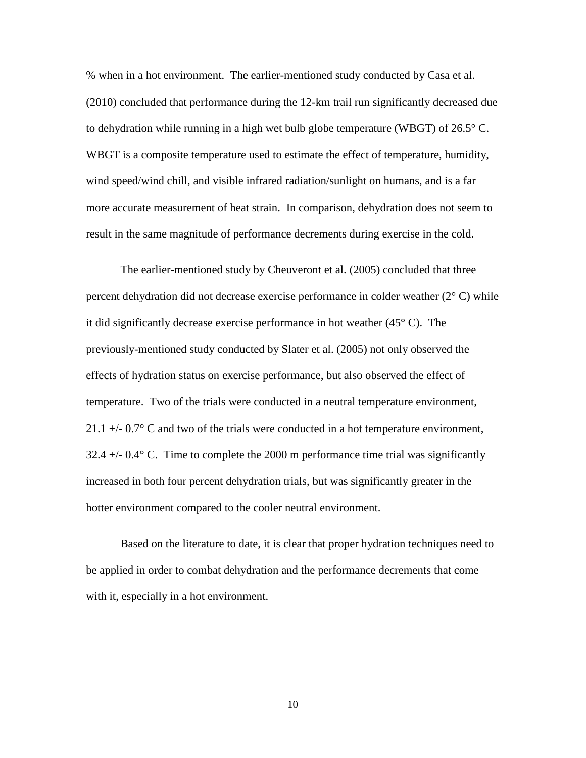% when in a hot environment. The earlier-mentioned study conducted by Casa et al. (2010) concluded that performance during the 12-km trail run significantly decreased due to dehydration while running in a high wet bulb globe temperature (WBGT) of  $26.5^{\circ}$  C. WBGT is a composite temperature used to estimate the effect of temperature, humidity, wind speed/wind chill, and visible infrared radiation/sunlight on humans, and is a far more accurate measurement of heat strain. In comparison, dehydration does not seem to result in the same magnitude of performance decrements during exercise in the cold.

The earlier-mentioned study by Cheuveront et al. (2005) concluded that three percent dehydration did not decrease exercise performance in colder weather (2° C) while it did significantly decrease exercise performance in hot weather  $(45^{\circ} \text{ C})$ . The previously-mentioned study conducted by Slater et al. (2005) not only observed the effects of hydration status on exercise performance, but also observed the effect of temperature. Two of the trials were conducted in a neutral temperature environment, 21.1  $+/- 0.7$ ° C and two of the trials were conducted in a hot temperature environment,  $32.4 +/- 0.4$  ° C. Time to complete the 2000 m performance time trial was significantly increased in both four percent dehydration trials, but was significantly greater in the hotter environment compared to the cooler neutral environment.

Based on the literature to date, it is clear that proper hydration techniques need to be applied in order to combat dehydration and the performance decrements that come with it, especially in a hot environment.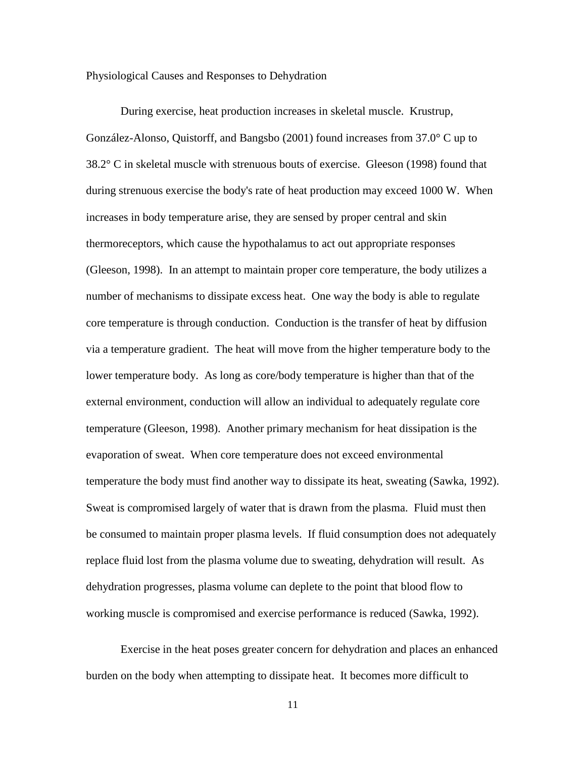Physiological Causes and Responses to Dehydration

During exercise, heat production increases in skeletal muscle. Krustrup, González-Alonso, Quistorff, and Bangsbo (2001) found increases from 37.0° C up to 38.2° C in skeletal muscle with strenuous bouts of exercise. Gleeson (1998) found that during strenuous exercise the body's rate of heat production may exceed 1000 W. When increases in body temperature arise, they are sensed by proper central and skin thermoreceptors, which cause the hypothalamus to act out appropriate responses (Gleeson, 1998). In an attempt to maintain proper core temperature, the body utilizes a number of mechanisms to dissipate excess heat. One way the body is able to regulate core temperature is through conduction. Conduction is the transfer of heat by diffusion via a temperature gradient. The heat will move from the higher temperature body to the lower temperature body. As long as core/body temperature is higher than that of the external environment, conduction will allow an individual to adequately regulate core temperature (Gleeson, 1998). Another primary mechanism for heat dissipation is the evaporation of sweat. When core temperature does not exceed environmental temperature the body must find another way to dissipate its heat, sweating (Sawka, 1992). Sweat is compromised largely of water that is drawn from the plasma. Fluid must then be consumed to maintain proper plasma levels. If fluid consumption does not adequately replace fluid lost from the plasma volume due to sweating, dehydration will result. As dehydration progresses, plasma volume can deplete to the point that blood flow to working muscle is compromised and exercise performance is reduced (Sawka, 1992).

Exercise in the heat poses greater concern for dehydration and places an enhanced burden on the body when attempting to dissipate heat. It becomes more difficult to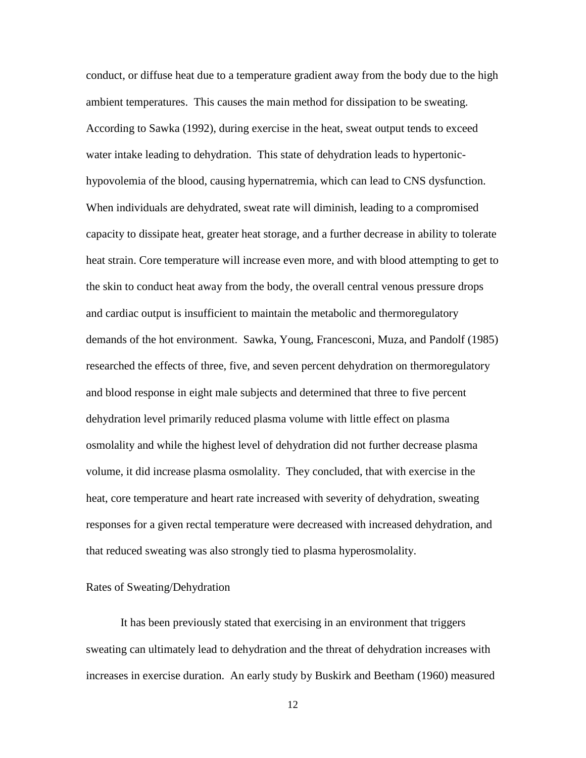conduct, or diffuse heat due to a temperature gradient away from the body due to the high ambient temperatures. This causes the main method for dissipation to be sweating. According to Sawka (1992), during exercise in the heat, sweat output tends to exceed water intake leading to dehydration. This state of dehydration leads to hypertonichypovolemia of the blood, causing hypernatremia, which can lead to CNS dysfunction. When individuals are dehydrated, sweat rate will diminish, leading to a compromised capacity to dissipate heat, greater heat storage, and a further decrease in ability to tolerate heat strain. Core temperature will increase even more, and with blood attempting to get to the skin to conduct heat away from the body, the overall central venous pressure drops and cardiac output is insufficient to maintain the metabolic and thermoregulatory demands of the hot environment. Sawka, Young, Francesconi, Muza, and Pandolf (1985) researched the effects of three, five, and seven percent dehydration on thermoregulatory and blood response in eight male subjects and determined that three to five percent dehydration level primarily reduced plasma volume with little effect on plasma osmolality and while the highest level of dehydration did not further decrease plasma volume, it did increase plasma osmolality. They concluded, that with exercise in the heat, core temperature and heart rate increased with severity of dehydration, sweating responses for a given rectal temperature were decreased with increased dehydration, and that reduced sweating was also strongly tied to plasma hyperosmolality.

#### Rates of Sweating/Dehydration

It has been previously stated that exercising in an environment that triggers sweating can ultimately lead to dehydration and the threat of dehydration increases with increases in exercise duration. An early study by Buskirk and Beetham (1960) measured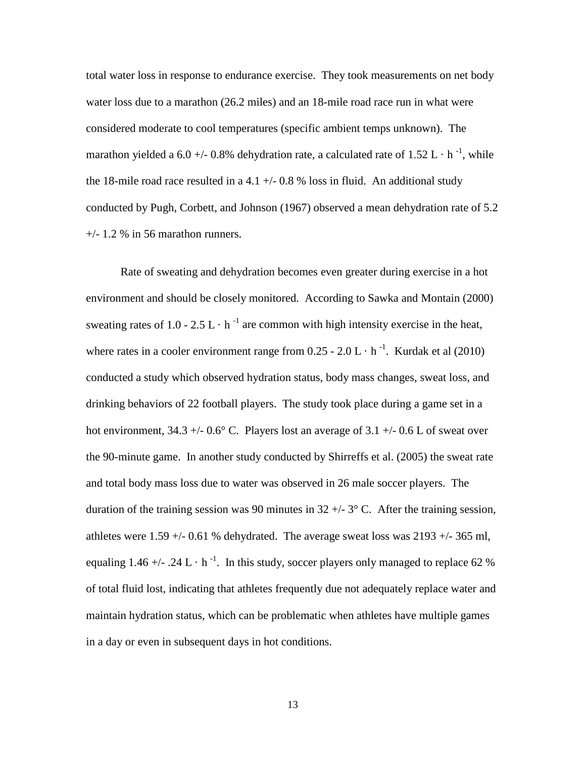total water loss in response to endurance exercise. They took measurements on net body water loss due to a marathon (26.2 miles) and an 18-mile road race run in what were considered moderate to cool temperatures (specific ambient temps unknown). The marathon yielded a 6.0 +/- 0.8% dehydration rate, a calculated rate of 1.52 L  $\cdot$  h<sup>-1</sup>, while the 18-mile road race resulted in a 4.1  $+/-$  0.8 % loss in fluid. An additional study conducted by Pugh, Corbett, and Johnson (1967) observed a mean dehydration rate of 5.2  $+/- 1.2$  % in 56 marathon runners.

Rate of sweating and dehydration becomes even greater during exercise in a hot environment and should be closely monitored. According to Sawka and Montain (2000) sweating rates of 1.0 - 2.5 L  $\cdot$  h<sup>-1</sup> are common with high intensity exercise in the heat, where rates in a cooler environment range from  $0.25 - 2.0 \text{ L} \cdot \text{h}^{-1}$ . Kurdak et al (2010) conducted a study which observed hydration status, body mass changes, sweat loss, and drinking behaviors of 22 football players. The study took place during a game set in a hot environment,  $34.3 + (-0.6^{\circ} \text{ C}$ . Players lost an average of  $3.1 + (-0.6 \text{ L} \text{ of}$  sweat over the 90-minute game. In another study conducted by Shirreffs et al. (2005) the sweat rate and total body mass loss due to water was observed in 26 male soccer players. The duration of the training session was 90 minutes in  $32 +/- 3^{\circ}$  C. After the training session, athletes were  $1.59 + -0.61$  % dehydrated. The average sweat loss was  $2193 + -365$  ml, equaling 1.46 +/- .24 L · h<sup>-1</sup>. In this study, soccer players only managed to replace 62 % of total fluid lost, indicating that athletes frequently due not adequately replace water and maintain hydration status, which can be problematic when athletes have multiple games in a day or even in subsequent days in hot conditions.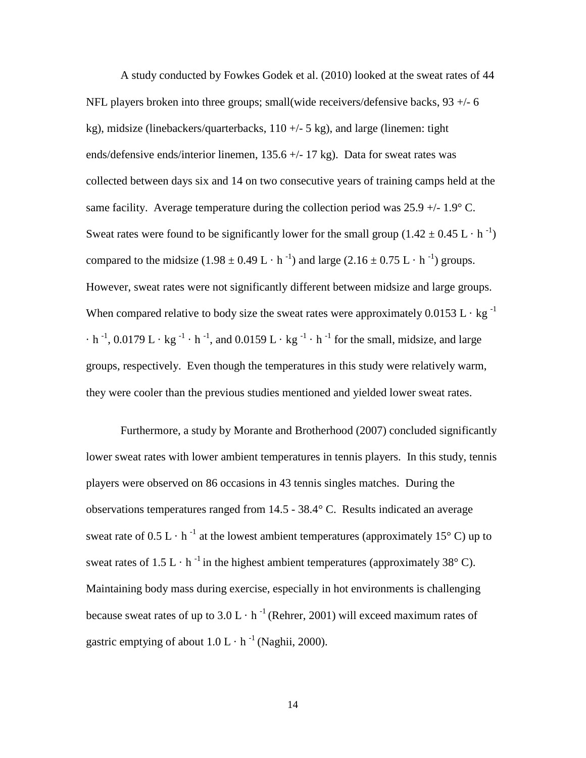A study conducted by Fowkes Godek et al. (2010) looked at the sweat rates of 44 NFL players broken into three groups; small(wide receivers/defensive backs, 93 +/- 6 kg), midsize (linebackers/quarterbacks,  $110 +/- 5$  kg), and large (linemen: tight ends/defensive ends/interior linemen, 135.6 +/- 17 kg). Data for sweat rates was collected between days six and 14 on two consecutive years of training camps held at the same facility. Average temperature during the collection period was 25.9 +/- 1.9° C. Sweat rates were found to be significantly lower for the small group  $(1.42 \pm 0.45 \text{ L} \cdot \text{h}^{-1})$ compared to the midsize  $(1.98 \pm 0.49 \text{ L} \cdot \text{h}^{-1})$  and large  $(2.16 \pm 0.75 \text{ L} \cdot \text{h}^{-1})$  groups. However, sweat rates were not significantly different between midsize and large groups. When compared relative to body size the sweat rates were approximately  $0.0153 \text{ L} \cdot \text{kg}^{-1}$  $\cdot$  h<sup>-1</sup>, 0.0179 L  $\cdot$  kg<sup>-1</sup>  $\cdot$  h<sup>-1</sup>, and 0.0159 L  $\cdot$  kg<sup>-1</sup>  $\cdot$  h<sup>-1</sup> for the small, midsize, and large groups, respectively. Even though the temperatures in this study were relatively warm, they were cooler than the previous studies mentioned and yielded lower sweat rates.

Furthermore, a study by Morante and Brotherhood (2007) concluded significantly lower sweat rates with lower ambient temperatures in tennis players. In this study, tennis players were observed on 86 occasions in 43 tennis singles matches. During the observations temperatures ranged from 14.5 - 38.4° C. Results indicated an average sweat rate of  $0.5 L \cdot h^{-1}$  at the lowest ambient temperatures (approximately 15°C) up to sweat rates of  $1.5 L \cdot h^{-1}$  in the highest ambient temperatures (approximately 38° C). Maintaining body mass during exercise, especially in hot environments is challenging because sweat rates of up to  $3.0 \text{ L} \cdot \text{ h}^{-1}$  (Rehrer, 2001) will exceed maximum rates of gastric emptying of about  $1.0 L \cdot h^{-1}$  (Naghii, 2000).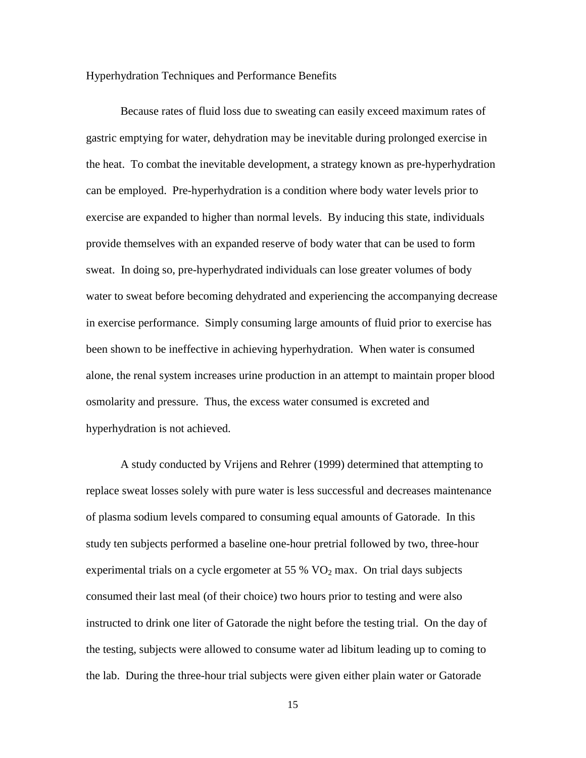#### Hyperhydration Techniques and Performance Benefits

Because rates of fluid loss due to sweating can easily exceed maximum rates of gastric emptying for water, dehydration may be inevitable during prolonged exercise in the heat. To combat the inevitable development, a strategy known as pre-hyperhydration can be employed. Pre-hyperhydration is a condition where body water levels prior to exercise are expanded to higher than normal levels. By inducing this state, individuals provide themselves with an expanded reserve of body water that can be used to form sweat. In doing so, pre-hyperhydrated individuals can lose greater volumes of body water to sweat before becoming dehydrated and experiencing the accompanying decrease in exercise performance. Simply consuming large amounts of fluid prior to exercise has been shown to be ineffective in achieving hyperhydration. When water is consumed alone, the renal system increases urine production in an attempt to maintain proper blood osmolarity and pressure. Thus, the excess water consumed is excreted and hyperhydration is not achieved.

A study conducted by Vrijens and Rehrer (1999) determined that attempting to replace sweat losses solely with pure water is less successful and decreases maintenance of plasma sodium levels compared to consuming equal amounts of Gatorade. In this study ten subjects performed a baseline one-hour pretrial followed by two, three-hour experimental trials on a cycle ergometer at 55 %  $VO<sub>2</sub>$  max. On trial days subjects consumed their last meal (of their choice) two hours prior to testing and were also instructed to drink one liter of Gatorade the night before the testing trial. On the day of the testing, subjects were allowed to consume water ad libitum leading up to coming to the lab. During the three-hour trial subjects were given either plain water or Gatorade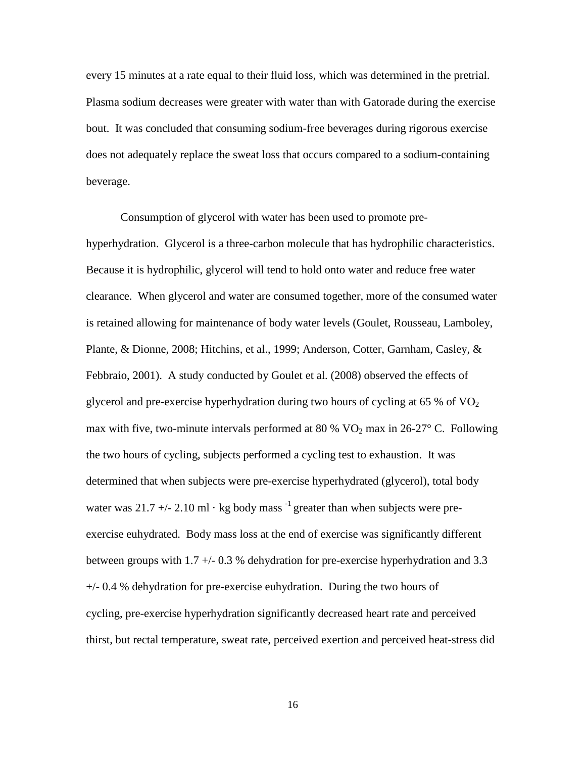every 15 minutes at a rate equal to their fluid loss, which was determined in the pretrial. Plasma sodium decreases were greater with water than with Gatorade during the exercise bout. It was concluded that consuming sodium-free beverages during rigorous exercise does not adequately replace the sweat loss that occurs compared to a sodium-containing beverage.

Consumption of glycerol with water has been used to promote prehyperhydration. Glycerol is a three-carbon molecule that has hydrophilic characteristics. Because it is hydrophilic, glycerol will tend to hold onto water and reduce free water clearance. When glycerol and water are consumed together, more of the consumed water is retained allowing for maintenance of body water levels (Goulet, Rousseau, Lamboley, Plante, & Dionne, 2008; Hitchins, et al., 1999; Anderson, Cotter, Garnham, Casley, & Febbraio, 2001). A study conducted by Goulet et al. (2008) observed the effects of glycerol and pre-exercise hyperhydration during two hours of cycling at  $65\%$  of  $VO<sub>2</sub>$ max with five, two-minute intervals performed at 80 %  $VO<sub>2</sub>$  max in 26-27° C. Following the two hours of cycling, subjects performed a cycling test to exhaustion. It was determined that when subjects were pre-exercise hyperhydrated (glycerol), total body water was 21.7 +/- 2.10 ml  $\cdot$  kg body mass  $^{-1}$  greater than when subjects were preexercise euhydrated. Body mass loss at the end of exercise was significantly different between groups with 1.7 +/- 0.3 % dehydration for pre-exercise hyperhydration and 3.3 +/- 0.4 % dehydration for pre-exercise euhydration. During the two hours of cycling, pre-exercise hyperhydration significantly decreased heart rate and perceived thirst, but rectal temperature, sweat rate, perceived exertion and perceived heat-stress did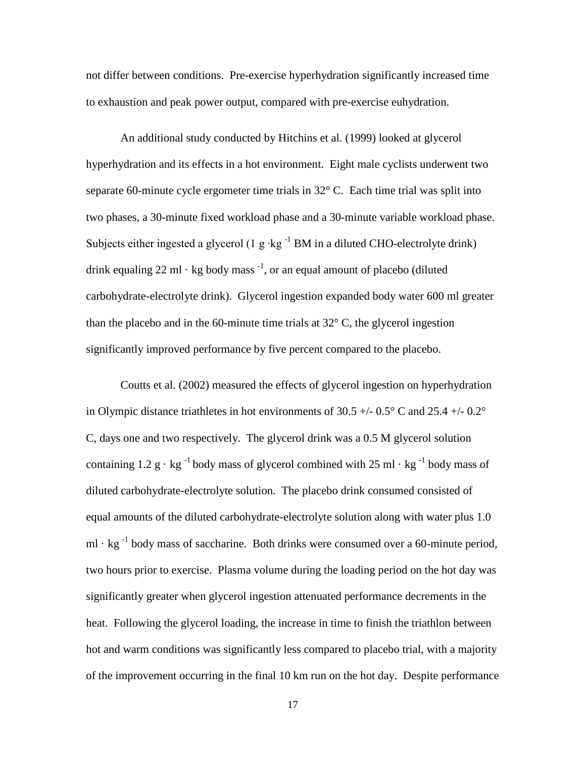not differ between conditions. Pre-exercise hyperhydration significantly increased time to exhaustion and peak power output, compared with pre-exercise euhydration.

An additional study conducted by Hitchins et al. (1999) looked at glycerol hyperhydration and its effects in a hot environment. Eight male cyclists underwent two separate 60-minute cycle ergometer time trials in 32° C. Each time trial was split into two phases, a 30-minute fixed workload phase and a 30-minute variable workload phase. Subjects either ingested a glycerol (1 g ⋅kg  $^{-1}$  BM in a diluted CHO-electrolyte drink) drink equaling 22 ml  $\cdot$  kg body mass  $^{-1}$ , or an equal amount of placebo (diluted carbohydrate-electrolyte drink). Glycerol ingestion expanded body water 600 ml greater than the placebo and in the 60-minute time trials at  $32^{\circ}$  C, the glycerol ingestion significantly improved performance by five percent compared to the placebo.

Coutts et al. (2002) measured the effects of glycerol ingestion on hyperhydration in Olympic distance triathletes in hot environments of 30.5  $+/-$  0.5 $\degree$  C and 25.4  $+/-$  0.2 $\degree$ C, days one and two respectively. The glycerol drink was a 0.5 M glycerol solution containing 1.2 g  $\cdot$  kg<sup>-1</sup> body mass of glycerol combined with 25 ml  $\cdot$  kg<sup>-1</sup> body mass of diluted carbohydrate-electrolyte solution. The placebo drink consumed consisted of equal amounts of the diluted carbohydrate-electrolyte solution along with water plus 1.0 ml · kg<sup>-1</sup> body mass of saccharine. Both drinks were consumed over a 60-minute period, two hours prior to exercise. Plasma volume during the loading period on the hot day was significantly greater when glycerol ingestion attenuated performance decrements in the heat. Following the glycerol loading, the increase in time to finish the triathlon between hot and warm conditions was significantly less compared to placebo trial, with a majority of the improvement occurring in the final 10 km run on the hot day. Despite performance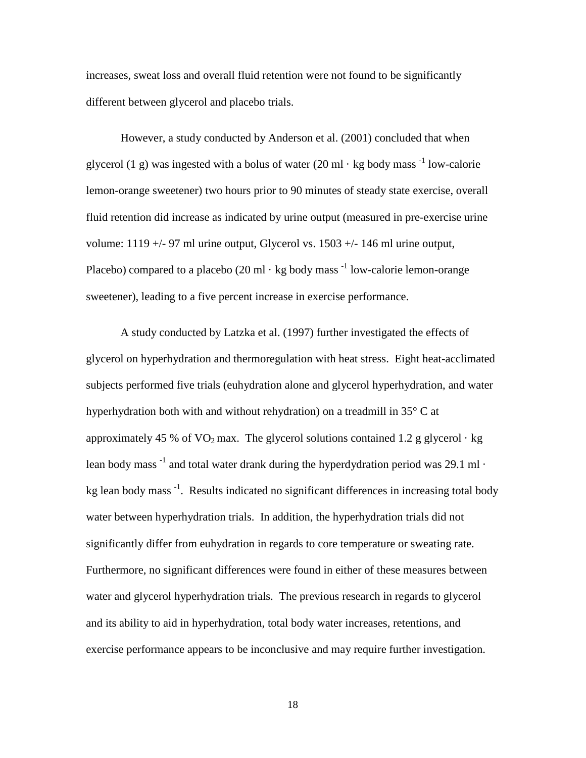increases, sweat loss and overall fluid retention were not found to be significantly different between glycerol and placebo trials.

However, a study conducted by Anderson et al. (2001) concluded that when glycerol (1 g) was ingested with a bolus of water (20 ml  $\cdot$  kg body mass  $^{-1}$  low-calorie lemon-orange sweetener) two hours prior to 90 minutes of steady state exercise, overall fluid retention did increase as indicated by urine output (measured in pre-exercise urine volume:  $1119 +/- 97$  ml urine output, Glycerol vs.  $1503 +/- 146$  ml urine output, Placebo) compared to a placebo (20 ml  $\cdot$  kg body mass  $^{-1}$  low-calorie lemon-orange sweetener), leading to a five percent increase in exercise performance.

A study conducted by Latzka et al. (1997) further investigated the effects of glycerol on hyperhydration and thermoregulation with heat stress. Eight heat-acclimated subjects performed five trials (euhydration alone and glycerol hyperhydration, and water hyperhydration both with and without rehydration) on a treadmill in 35° C at approximately 45 % of  $VO<sub>2</sub>$  max. The glycerol solutions contained 1.2 g glycerol  $\cdot$  kg lean body mass  $^{-1}$  and total water drank during the hyperdydration period was 29.1 ml  $\cdot$ kg lean body mass<sup>-1</sup>. Results indicated no significant differences in increasing total body water between hyperhydration trials. In addition, the hyperhydration trials did not significantly differ from euhydration in regards to core temperature or sweating rate. Furthermore, no significant differences were found in either of these measures between water and glycerol hyperhydration trials. The previous research in regards to glycerol and its ability to aid in hyperhydration, total body water increases, retentions, and exercise performance appears to be inconclusive and may require further investigation.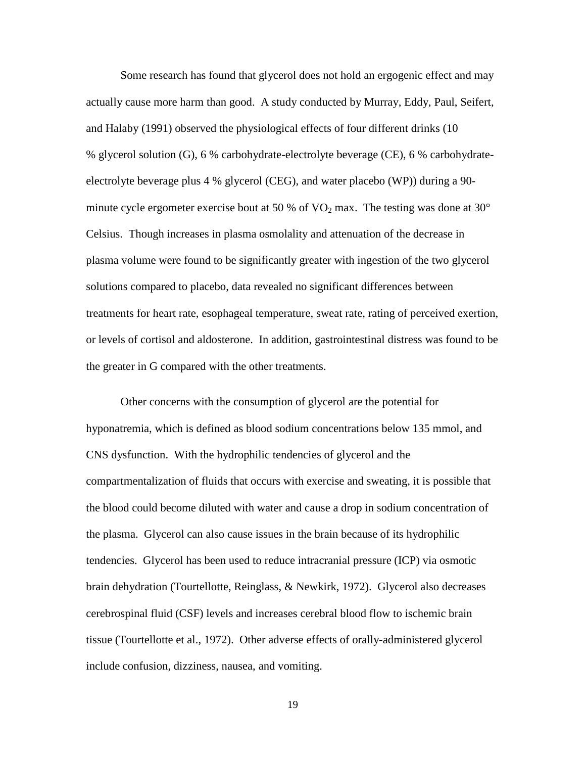Some research has found that glycerol does not hold an ergogenic effect and may actually cause more harm than good. A study conducted by Murray, Eddy, Paul, Seifert, and Halaby (1991) observed the physiological effects of four different drinks (10 % glycerol solution (G), 6 % carbohydrate-electrolyte beverage (CE), 6 % carbohydrateelectrolyte beverage plus 4 % glycerol (CEG), and water placebo (WP)) during a 90 minute cycle ergometer exercise bout at 50 % of  $\text{VO}_2$  max. The testing was done at 30 $^{\circ}$ Celsius. Though increases in plasma osmolality and attenuation of the decrease in plasma volume were found to be significantly greater with ingestion of the two glycerol solutions compared to placebo, data revealed no significant differences between treatments for heart rate, esophageal temperature, sweat rate, rating of perceived exertion, or levels of cortisol and aldosterone. In addition, gastrointestinal distress was found to be the greater in G compared with the other treatments.

Other concerns with the consumption of glycerol are the potential for hyponatremia, which is defined as blood sodium concentrations below 135 mmol, and CNS dysfunction. With the hydrophilic tendencies of glycerol and the compartmentalization of fluids that occurs with exercise and sweating, it is possible that the blood could become diluted with water and cause a drop in sodium concentration of the plasma. Glycerol can also cause issues in the brain because of its hydrophilic tendencies. Glycerol has been used to reduce intracranial pressure (ICP) via osmotic brain dehydration (Tourtellotte, Reinglass, & Newkirk, 1972). Glycerol also decreases cerebrospinal fluid (CSF) levels and increases cerebral blood flow to [ischemic](http://medical-dictionary.thefreedictionary.com/ischemic) brain tissue (Tourtellotte et al., 1972). Other adverse effects of orally-administered glycerol include confusion, dizziness, nausea, and vomiting.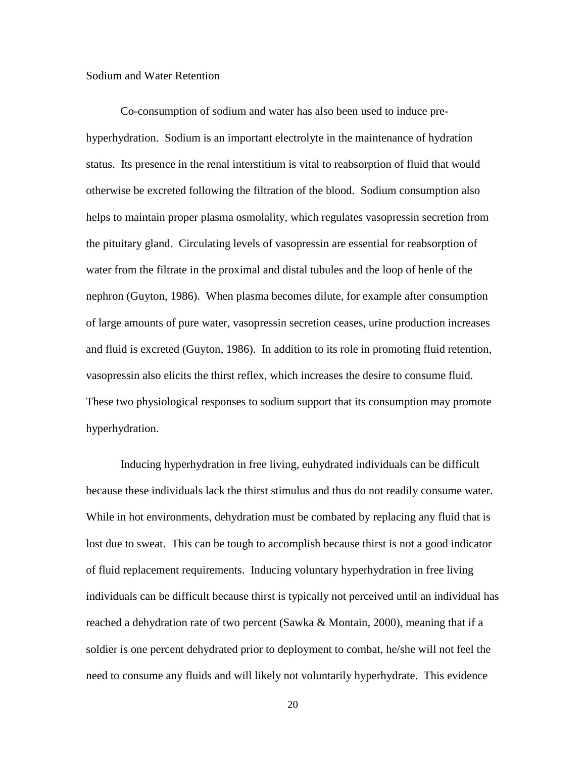#### Sodium and Water Retention

Co-consumption of sodium and water has also been used to induce prehyperhydration. Sodium is an important electrolyte in the maintenance of hydration status. Its presence in the renal interstitium is vital to reabsorption of fluid that would otherwise be excreted following the filtration of the blood. Sodium consumption also helps to maintain proper plasma osmolality, which regulates vasopressin secretion from the pituitary gland. Circulating levels of vasopressin are essential for reabsorption of water from the filtrate in the proximal and distal tubules and the loop of henle of the nephron (Guyton, 1986). When plasma becomes dilute, for example after consumption of large amounts of pure water, vasopressin secretion ceases, urine production increases and fluid is excreted (Guyton, 1986). In addition to its role in promoting fluid retention, vasopressin also elicits the thirst reflex, which increases the desire to consume fluid. These two physiological responses to sodium support that its consumption may promote hyperhydration.

Inducing hyperhydration in free living, euhydrated individuals can be difficult because these individuals lack the thirst stimulus and thus do not readily consume water. While in hot environments, dehydration must be combated by replacing any fluid that is lost due to sweat. This can be tough to accomplish because thirst is not a good indicator of fluid replacement requirements. Inducing voluntary hyperhydration in free living individuals can be difficult because thirst is typically not perceived until an individual has reached a dehydration rate of two percent (Sawka & Montain, 2000), meaning that if a soldier is one percent dehydrated prior to deployment to combat, he/she will not feel the need to consume any fluids and will likely not voluntarily hyperhydrate. This evidence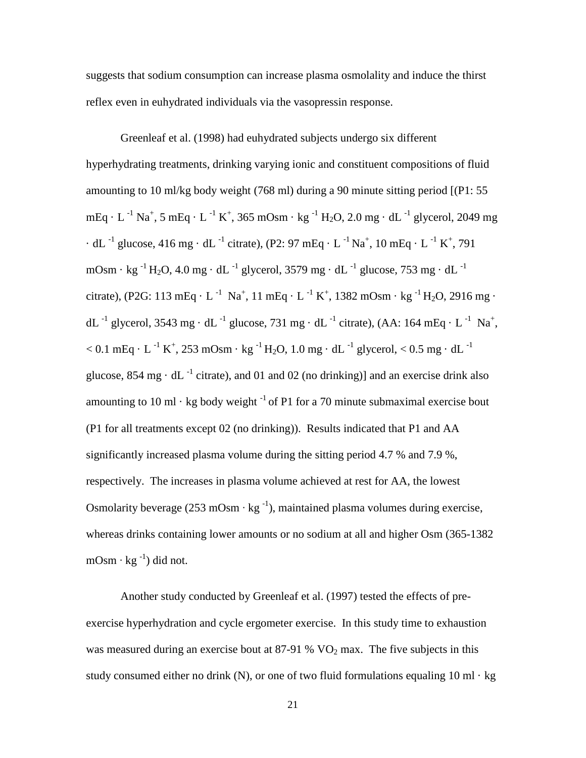suggests that sodium consumption can increase plasma osmolality and induce the thirst reflex even in euhydrated individuals via the vasopressin response.

Greenleaf et al. (1998) had euhydrated subjects undergo six different hyperhydrating treatments, drinking varying ionic and constituent compositions of fluid amounting to 10 ml/kg body weight (768 ml) during a 90 minute sitting period [(P1: 55  $mEq \cdot L^{-1}$  Na<sup>+</sup>, 5 mEq  $\cdot$  L <sup>-1</sup> K<sup>+</sup>, 365 mOsm  $\cdot$  kg <sup>-1</sup> H<sub>2</sub>O, 2.0 mg  $\cdot$  dL <sup>-1</sup> glycerol, 2049 mg  $\cdot$  dL <sup>-1</sup> glucose, 416 mg  $\cdot$  dL <sup>-1</sup> citrate), (P2: 97 mEq  $\cdot$  L <sup>-1</sup> Na<sup>+</sup>, 10 mEq  $\cdot$  L <sup>-1</sup> K<sup>+</sup>, 791 mOsm · kg<sup>-1</sup> H<sub>2</sub>O, 4.0 mg · dL<sup>-1</sup> glycerol, 3579 mg · dL<sup>-1</sup> glucose, 753 mg · dL<sup>-1</sup> citrate), (P2G: 113 mEq · L<sup>-1</sup> Na<sup>+</sup>, 11 mEq · L<sup>-1</sup> K<sup>+</sup>, 1382 mOsm · kg <sup>-1</sup> H<sub>2</sub>O, 2916 mg · dL<sup>-1</sup> glycerol, 3543 mg · dL<sup>-1</sup> glucose, 731 mg · dL<sup>-1</sup> citrate), (AA: 164 mEq · L<sup>-1</sup> Na<sup>+</sup>,  $<$  0.1 mEq  $\cdot$  L  $^{-1}$  K<sup>+</sup>, 253 mOsm  $\cdot$  kg  $^{-1}$  H<sub>2</sub>O, 1.0 mg  $\cdot$  dL  $^{-1}$  glycerol,  $<$  0.5 mg  $\cdot$  dL  $^{-1}$ glucose,  $854 \text{ mg} \cdot \text{d}L^{-1}$  citrate), and 01 and 02 (no drinking)] and an exercise drink also amounting to 10 ml  $\cdot$  kg body weight  $^{-1}$  of P1 for a 70 minute submaximal exercise bout (P1 for all treatments except 02 (no drinking)). Results indicated that P1 and AA significantly increased plasma volume during the sitting period 4.7 % and 7.9 %, respectively. The increases in plasma volume achieved at rest for AA, the lowest Osmolarity beverage (253 mOsm ⋅ kg  $^{-1}$ ), maintained plasma volumes during exercise, whereas drinks containing lower amounts or no sodium at all and higher Osm (365-1382  $mOsm·kg^{-1}$ ) did not.

Another study conducted by Greenleaf et al. (1997) tested the effects of preexercise hyperhydration and cycle ergometer exercise. In this study time to exhaustion was measured during an exercise bout at  $87-91$  %  $VO<sub>2</sub>$  max. The five subjects in this study consumed either no drink (N), or one of two fluid formulations equaling 10 ml  $\cdot$  kg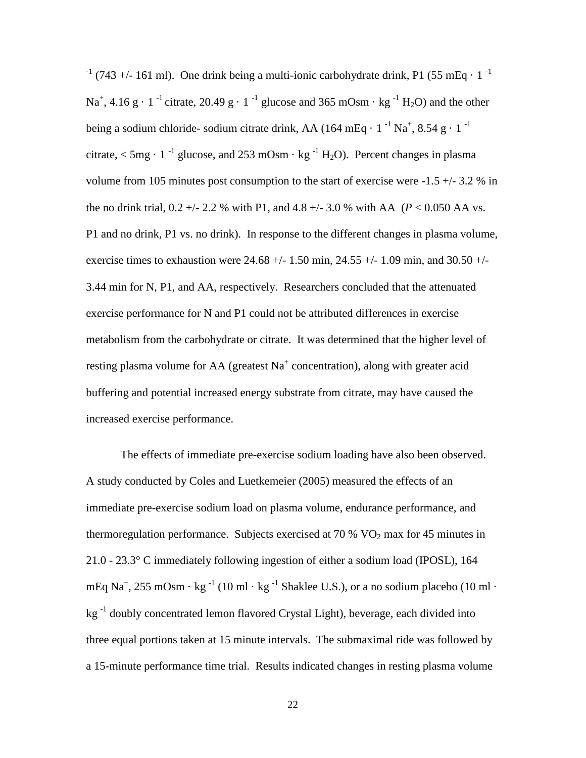$^{-1}$  (743 +/- 161 ml). One drink being a multi-ionic carbohydrate drink, P1 (55 mEq  $\cdot$  1  $^{-1}$ ) Na<sup>+</sup>, 4.16 g · 1<sup>-1</sup> citrate, 20.49 g · 1<sup>-1</sup> glucose and 365 mOsm · kg<sup>-1</sup> H<sub>2</sub>O) and the other being a sodium chloride- sodium citrate drink, AA (164 mEq ·  $1^{-1}$  Na<sup>+</sup>, 8.54 g ·  $1^{-1}$ citrate,  $\lt$  5mg · 1<sup>-1</sup> glucose, and 253 mOsm · kg<sup>-1</sup> H<sub>2</sub>O). Percent changes in plasma volume from 105 minutes post consumption to the start of exercise were  $-1.5 + (-3.2 \% \text{ in}$ the no drink trial,  $0.2 +1$  - 2.2 % with P1, and 4.8 + $-$  3.0 % with AA ( $P < 0.050$  AA vs. P1 and no drink, P1 vs. no drink). In response to the different changes in plasma volume, exercise times to exhaustion were  $24.68 +/- 1.50$  min,  $24.55 +/- 1.09$  min, and  $30.50 +/-$ 3.44 min for N, P1, and AA, respectively. Researchers concluded that the attenuated exercise performance for N and P1 could not be attributed differences in exercise metabolism from the carbohydrate or citrate. It was determined that the higher level of resting plasma volume for AA (greatest  $Na<sup>+</sup>$  concentration), along with greater acid buffering and potential increased energy substrate from citrate, may have caused the increased exercise performance.

The effects of immediate pre-exercise sodium loading have also been observed. A study conducted by Coles and Luetkemeier (2005) measured the effects of an immediate pre-exercise sodium load on plasma volume, endurance performance, and thermoregulation performance. Subjects exercised at 70 %  $VO<sub>2</sub>$  max for 45 minutes in 21.0 - 23.3° C immediately following ingestion of either a sodium load (IPOSL), 164 mEq Na<sup>+</sup>, 255 mOsm · kg <sup>-1</sup> (10 ml · kg <sup>-1</sup> Shaklee U.S.), or a no sodium placebo (10 ml · kg -1 doubly concentrated lemon flavored Crystal Light), beverage, each divided into three equal portions taken at 15 minute intervals. The submaximal ride was followed by a 15-minute performance time trial. Results indicated changes in resting plasma volume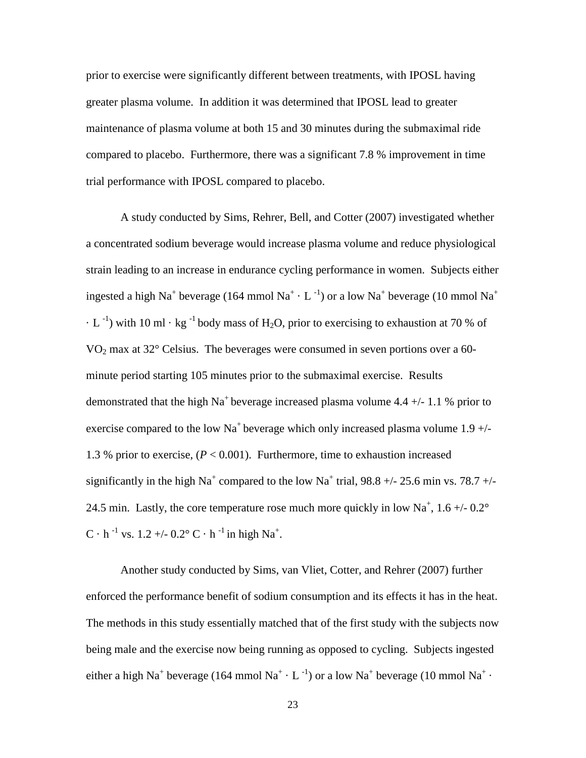prior to exercise were significantly different between treatments, with IPOSL having greater plasma volume. In addition it was determined that IPOSL lead to greater maintenance of plasma volume at both 15 and 30 minutes during the submaximal ride compared to placebo. Furthermore, there was a significant 7.8 % improvement in time trial performance with IPOSL compared to placebo.

A study conducted by Sims, Rehrer, Bell, and Cotter (2007) investigated whether a concentrated sodium beverage would increase plasma volume and reduce physiological strain leading to an increase in endurance cycling performance in women. Subjects either ingested a high Na<sup>+</sup> beverage (164 mmol Na<sup>+</sup>  $\cdot$  L <sup>-1</sup>) or a low Na<sup>+</sup> beverage (10 mmol Na<sup>+</sup>  $\cdot$  L<sup>-1</sup>) with 10 ml  $\cdot$  kg<sup>-1</sup> body mass of H<sub>2</sub>O, prior to exercising to exhaustion at 70 % of  $VO<sub>2</sub>$  max at 32 $^{\circ}$  Celsius. The beverages were consumed in seven portions over a 60minute period starting 105 minutes prior to the submaximal exercise. Results demonstrated that the high Na<sup>+</sup> beverage increased plasma volume 4.4  $+/- 1.1$  % prior to exercise compared to the low Na<sup>+</sup> beverage which only increased plasma volume  $1.9 +/-$ 1.3 % prior to exercise, (*P* < 0.001). Furthermore, time to exhaustion increased significantly in the high Na<sup>+</sup> compared to the low Na<sup>+</sup> trial, 98.8 +/- 25.6 min vs. 78.7 +/-24.5 min. Lastly, the core temperature rose much more quickly in low  $Na^+$ , 1.6 +/- 0.2 $^{\circ}$  $C \cdot h^{-1}$  vs. 1.2 +/- 0.2°  $C \cdot h^{-1}$  in high Na<sup>+</sup>.

Another study conducted by Sims, van Vliet, Cotter, and Rehrer (2007) further enforced the performance benefit of sodium consumption and its effects it has in the heat. The methods in this study essentially matched that of the first study with the subjects now being male and the exercise now being running as opposed to cycling. Subjects ingested either a high Na<sup>+</sup> beverage (164 mmol Na<sup>+</sup> · L<sup>-1</sup>) or a low Na<sup>+</sup> beverage (10 mmol Na<sup>+</sup> ·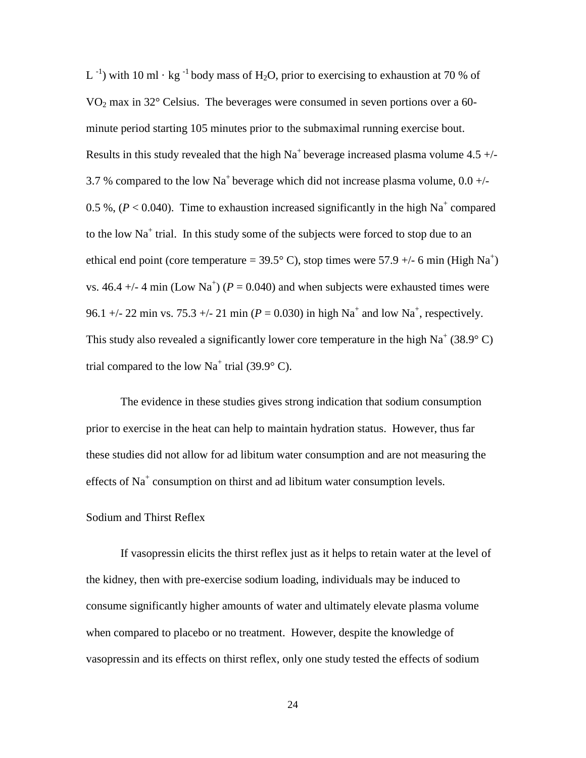L<sup>-1</sup>) with 10 ml  $\cdot$  kg<sup>-1</sup> body mass of H<sub>2</sub>O, prior to exercising to exhaustion at 70 % of VO<sub>2</sub> max in  $32^{\circ}$  Celsius. The beverages were consumed in seven portions over a 60minute period starting 105 minutes prior to the submaximal running exercise bout. Results in this study revealed that the high  $Na<sup>+</sup>$  beverage increased plasma volume 4.5 +/-3.7 % compared to the low Na<sup>+</sup> beverage which did not increase plasma volume,  $0.0 +/-$ 0.5 %,  $(P < 0.040)$ . Time to exhaustion increased significantly in the high Na<sup>+</sup> compared to the low  $Na<sup>+</sup>$  trial. In this study some of the subjects were forced to stop due to an ethical end point (core temperature =  $39.5^{\circ}$  C), stop times were  $57.9 +/- 6$  min (High Na<sup>+</sup>) vs. 46.4  $+/-$  4 min (Low Na<sup>+</sup>) ( $P = 0.040$ ) and when subjects were exhausted times were 96.1 +/- 22 min vs. 75.3 +/- 21 min ( $P = 0.030$ ) in high Na<sup>+</sup> and low Na<sup>+</sup>, respectively. This study also revealed a significantly lower core temperature in the high  $Na^+(38.9^{\circ} \text{C})$ trial compared to the low  $Na<sup>+</sup>$  trial (39.9 $\degree$  C).

The evidence in these studies gives strong indication that sodium consumption prior to exercise in the heat can help to maintain hydration status. However, thus far these studies did not allow for ad libitum water consumption and are not measuring the effects of  $Na<sup>+</sup>$  consumption on thirst and ad libitum water consumption levels.

#### Sodium and Thirst Reflex

If vasopressin elicits the thirst reflex just as it helps to retain water at the level of the kidney, then with pre-exercise sodium loading, individuals may be induced to consume significantly higher amounts of water and ultimately elevate plasma volume when compared to placebo or no treatment. However, despite the knowledge of vasopressin and its effects on thirst reflex, only one study tested the effects of sodium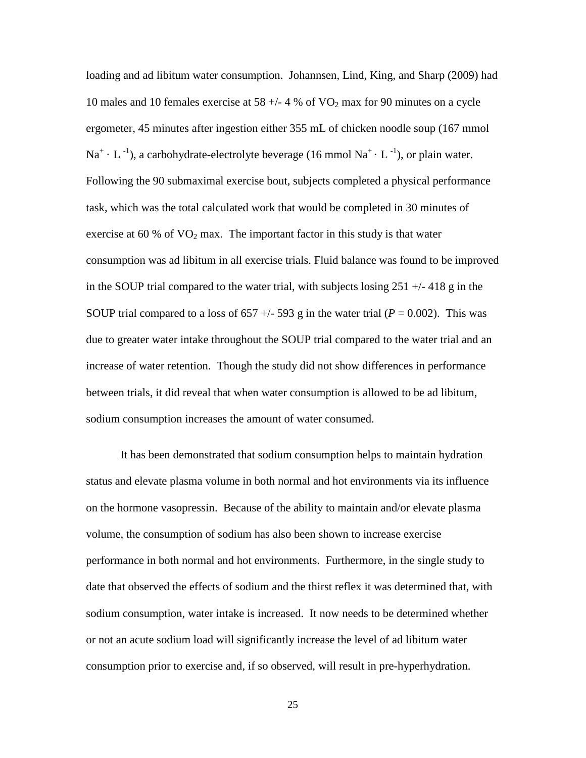loading and ad libitum water consumption. Johannsen, Lind, King, and Sharp (2009) had 10 males and 10 females exercise at 58  $+/- 4$  % of VO<sub>2</sub> max for 90 minutes on a cycle ergometer, 45 minutes after ingestion either 355 mL of chicken noodle soup (167 mmol  $\text{Na}^{\text{+}} \cdot \text{L}^{-1}$ ), a carbohydrate-electrolyte beverage (16 mmol  $\text{Na}^{\text{+}} \cdot \text{L}^{-1}$ ), or plain water. Following the 90 submaximal exercise bout, subjects completed a physical performance task, which was the total calculated work that would be completed in 30 minutes of exercise at 60 % of  $VO<sub>2</sub>$  max. The important factor in this study is that water consumption was ad libitum in all exercise trials. Fluid balance was found to be improved in the SOUP trial compared to the water trial, with subjects losing  $251 + (-418)$  g in the SOUP trial compared to a loss of 657  $+/-$  593 g in the water trial ( $P = 0.002$ ). This was due to greater water intake throughout the SOUP trial compared to the water trial and an increase of water retention. Though the study did not show differences in performance between trials, it did reveal that when water consumption is allowed to be ad libitum, sodium consumption increases the amount of water consumed.

It has been demonstrated that sodium consumption helps to maintain hydration status and elevate plasma volume in both normal and hot environments via its influence on the hormone vasopressin. Because of the ability to maintain and/or elevate plasma volume, the consumption of sodium has also been shown to increase exercise performance in both normal and hot environments. Furthermore, in the single study to date that observed the effects of sodium and the thirst reflex it was determined that, with sodium consumption, water intake is increased. It now needs to be determined whether or not an acute sodium load will significantly increase the level of ad libitum water consumption prior to exercise and, if so observed, will result in pre-hyperhydration.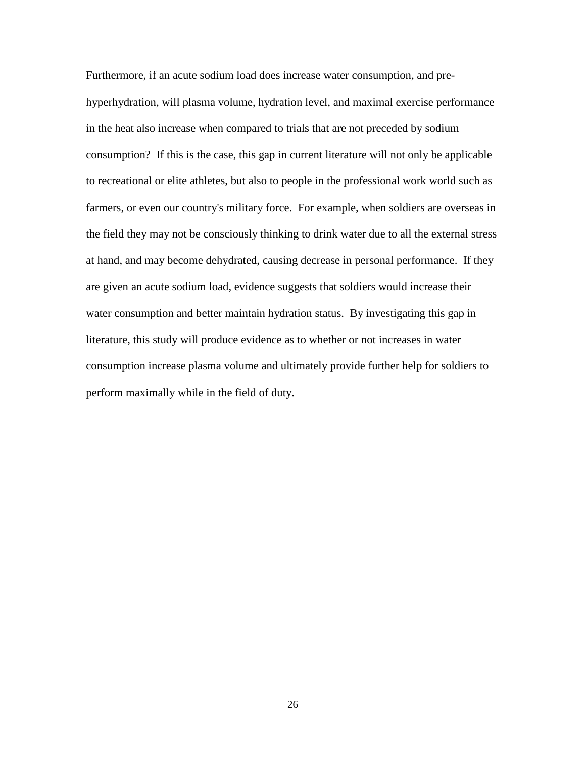Furthermore, if an acute sodium load does increase water consumption, and prehyperhydration, will plasma volume, hydration level, and maximal exercise performance in the heat also increase when compared to trials that are not preceded by sodium consumption? If this is the case, this gap in current literature will not only be applicable to recreational or elite athletes, but also to people in the professional work world such as farmers, or even our country's military force. For example, when soldiers are overseas in the field they may not be consciously thinking to drink water due to all the external stress at hand, and may become dehydrated, causing decrease in personal performance. If they are given an acute sodium load, evidence suggests that soldiers would increase their water consumption and better maintain hydration status. By investigating this gap in literature, this study will produce evidence as to whether or not increases in water consumption increase plasma volume and ultimately provide further help for soldiers to perform maximally while in the field of duty.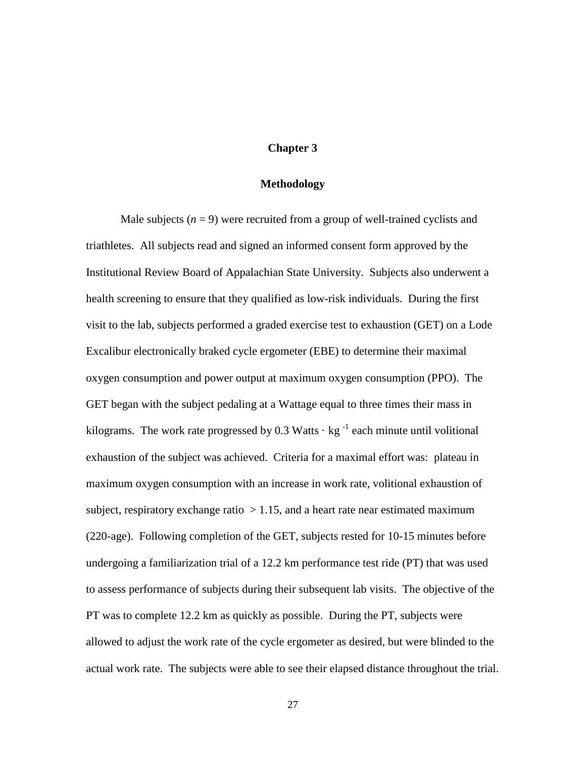## **Chapter 3**

## **Methodology**

Male subjects  $(n = 9)$  were recruited from a group of well-trained cyclists and triathletes. All subjects read and signed an informed consent form approved by the Institutional Review Board of Appalachian State University. Subjects also underwent a health screening to ensure that they qualified as low-risk individuals. During the first visit to the lab, subjects performed a graded exercise test to exhaustion (GET) on a Lode Excalibur electronically braked cycle ergometer (EBE) to determine their maximal oxygen consumption and power output at maximum oxygen consumption (PPO). The GET began with the subject pedaling at a Wattage equal to three times their mass in kilograms. The work rate progressed by 0.3 Watts  $\cdot$  kg<sup>-1</sup> each minute until volitional exhaustion of the subject was achieved. Criteria for a maximal effort was: plateau in maximum oxygen consumption with an increase in work rate, volitional exhaustion of subject, respiratory exchange ratio  $> 1.15$ , and a heart rate near estimated maximum (220-age). Following completion of the GET, subjects rested for 10-15 minutes before undergoing a familiarization trial of a 12.2 km performance test ride (PT) that was used to assess performance of subjects during their subsequent lab visits. The objective of the PT was to complete 12.2 km as quickly as possible. During the PT, subjects were allowed to adjust the work rate of the cycle ergometer as desired, but were blinded to the actual work rate. The subjects were able to see their elapsed distance throughout the trial.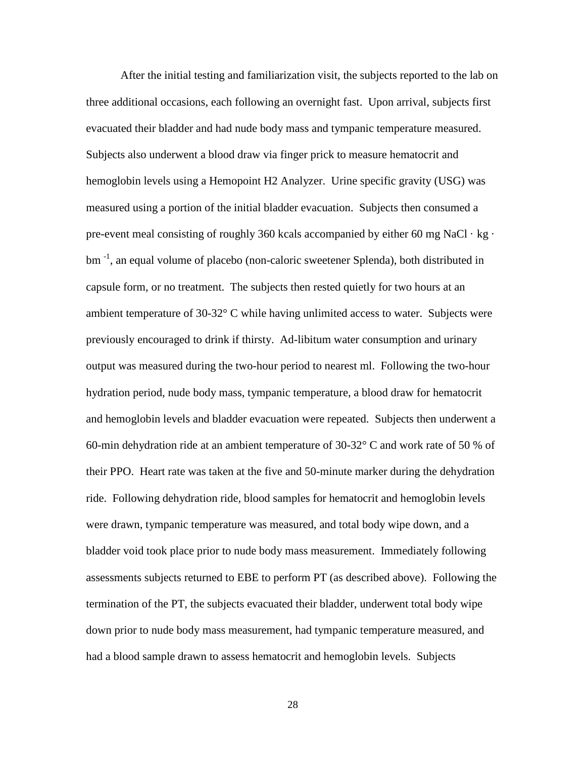After the initial testing and familiarization visit, the subjects reported to the lab on three additional occasions, each following an overnight fast. Upon arrival, subjects first evacuated their bladder and had nude body mass and tympanic temperature measured. Subjects also underwent a blood draw via finger prick to measure hematocrit and hemoglobin levels using a Hemopoint H2 Analyzer. Urine specific gravity (USG) was measured using a portion of the initial bladder evacuation. Subjects then consumed a pre-event meal consisting of roughly 360 kcals accompanied by either 60 mg NaCl  $\cdot$  kg  $\cdot$ bm<sup>-1</sup>, an equal volume of placebo (non-caloric sweetener Splenda), both distributed in capsule form, or no treatment. The subjects then rested quietly for two hours at an ambient temperature of 30-32° C while having unlimited access to water. Subjects were previously encouraged to drink if thirsty. Ad-libitum water consumption and urinary output was measured during the two-hour period to nearest ml. Following the two-hour hydration period, nude body mass, tympanic temperature, a blood draw for hematocrit and hemoglobin levels and bladder evacuation were repeated. Subjects then underwent a 60-min dehydration ride at an ambient temperature of 30-32° C and work rate of 50 % of their PPO. Heart rate was taken at the five and 50-minute marker during the dehydration ride. Following dehydration ride, blood samples for hematocrit and hemoglobin levels were drawn, tympanic temperature was measured, and total body wipe down, and a bladder void took place prior to nude body mass measurement. Immediately following assessments subjects returned to EBE to perform PT (as described above). Following the termination of the PT, the subjects evacuated their bladder, underwent total body wipe down prior to nude body mass measurement, had tympanic temperature measured, and had a blood sample drawn to assess hematocrit and hemoglobin levels. Subjects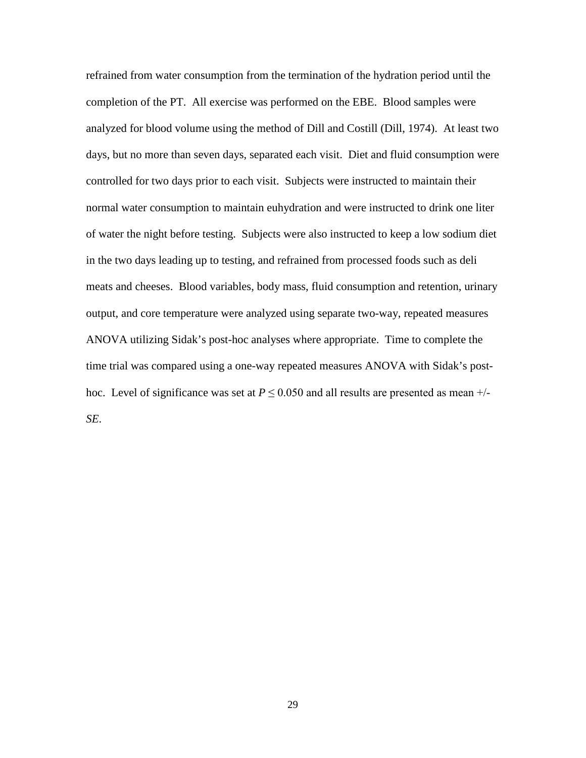refrained from water consumption from the termination of the hydration period until the completion of the PT. All exercise was performed on the EBE. Blood samples were analyzed for blood volume using the method of Dill and Costill (Dill, 1974). At least two days, but no more than seven days, separated each visit. Diet and fluid consumption were controlled for two days prior to each visit. Subjects were instructed to maintain their normal water consumption to maintain euhydration and were instructed to drink one liter of water the night before testing. Subjects were also instructed to keep a low sodium diet in the two days leading up to testing, and refrained from processed foods such as deli meats and cheeses. Blood variables, body mass, fluid consumption and retention, urinary output, and core temperature were analyzed using separate two-way, repeated measures ANOVA utilizing Sidak's post-hoc analyses where appropriate. Time to complete the time trial was compared using a one-way repeated measures ANOVA with Sidak's posthoc. Level of significance was set at  $P \le 0.050$  and all results are presented as mean  $+/-$ *SE*.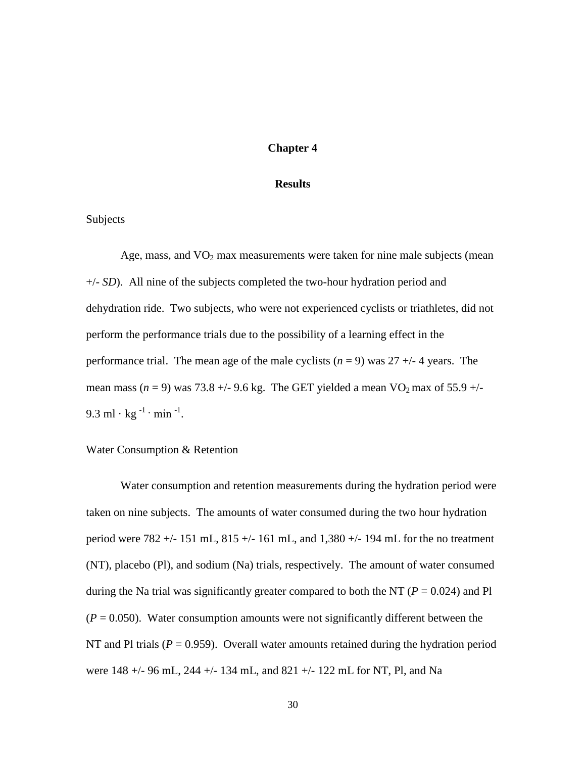# **Chapter 4**

#### **Results**

## Subjects

Age, mass, and  $VO<sub>2</sub>$  max measurements were taken for nine male subjects (mean +/- *SD*). All nine of the subjects completed the two-hour hydration period and dehydration ride. Two subjects, who were not experienced cyclists or triathletes, did not perform the performance trials due to the possibility of a learning effect in the performance trial. The mean age of the male cyclists  $(n = 9)$  was  $27 +11$  4 years. The mean mass  $(n = 9)$  was 73.8 +/- 9.6 kg. The GET yielded a mean VO<sub>2</sub> max of 55.9 +/-9.3 ml · kg  $^{-1}$  · min  $^{-1}$ .

#### Water Consumption & Retention

Water consumption and retention measurements during the hydration period were taken on nine subjects. The amounts of water consumed during the two hour hydration period were  $782 + (-151 \text{ mL}, 815 + (-161 \text{ mL}, \text{and } 1,380 + (-194 \text{ mL})$  for the no treatment (NT), placebo (Pl), and sodium (Na) trials, respectively. The amount of water consumed during the Na trial was significantly greater compared to both the NT ( $P = 0.024$ ) and Pl  $(P = 0.050)$ . Water consumption amounts were not significantly different between the NT and Pl trials  $(P = 0.959)$ . Overall water amounts retained during the hydration period were 148 +/- 96 mL, 244 +/- 134 mL, and 821 +/- 122 mL for NT, Pl, and Na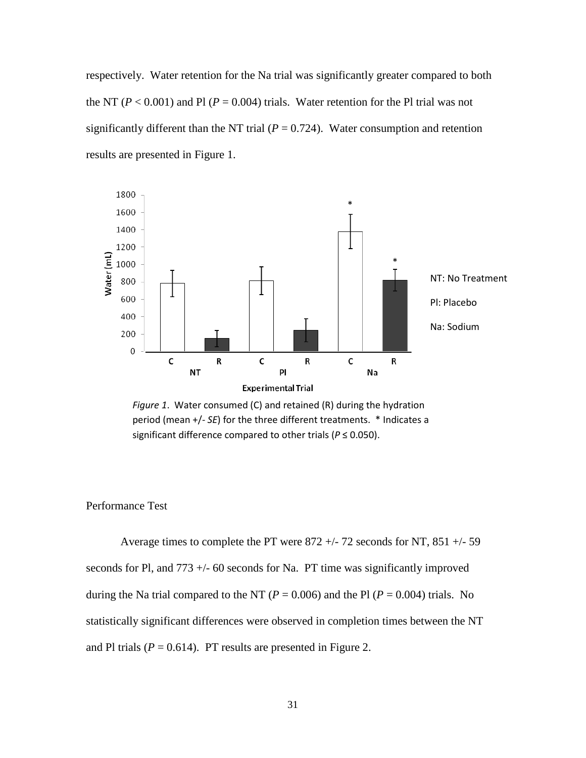respectively. Water retention for the Na trial was significantly greater compared to both the NT ( $P < 0.001$ ) and Pl ( $P = 0.004$ ) trials. Water retention for the Pl trial was not significantly different than the NT trial ( $P = 0.724$ ). Water consumption and retention results are presented in Figure 1.



*Figure 1*. Water consumed (C) and retained (R) during the hydration period (mean +/- *SE*) for the three different treatments. \* Indicates a significant difference compared to other trials (*P* ≤ 0.050).

#### Performance Test

Average times to complete the PT were 872 +/- 72 seconds for NT, 851 +/- 59 seconds for Pl, and  $773 + (-60$  seconds for Na. PT time was significantly improved during the Na trial compared to the NT ( $P = 0.006$ ) and the Pl ( $P = 0.004$ ) trials. No statistically significant differences were observed in completion times between the NT and Pl trials  $(P = 0.614)$ . PT results are presented in Figure 2.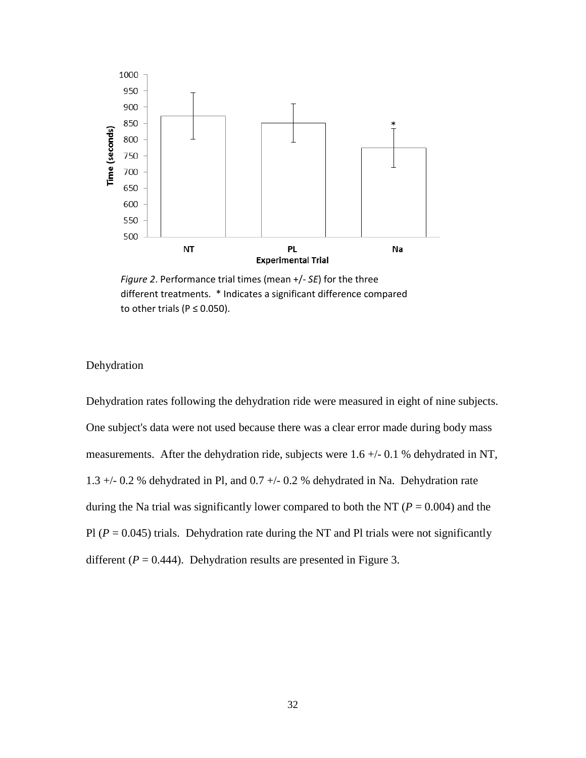

*Figure 2*. Performance trial times (mean +/- *SE*) for the three different treatments. \* Indicates a significant difference compared to other trials ( $P \le 0.050$ ).

# Dehydration

Dehydration rates following the dehydration ride were measured in eight of nine subjects. One subject's data were not used because there was a clear error made during body mass measurements. After the dehydration ride, subjects were 1.6 +/- 0.1 % dehydrated in NT, 1.3 +/- 0.2 % dehydrated in Pl, and 0.7 +/- 0.2 % dehydrated in Na. Dehydration rate during the Na trial was significantly lower compared to both the NT ( $P = 0.004$ ) and the Pl  $(P = 0.045)$  trials. Dehydration rate during the NT and Pl trials were not significantly different  $(P = 0.444)$ . Dehydration results are presented in Figure 3.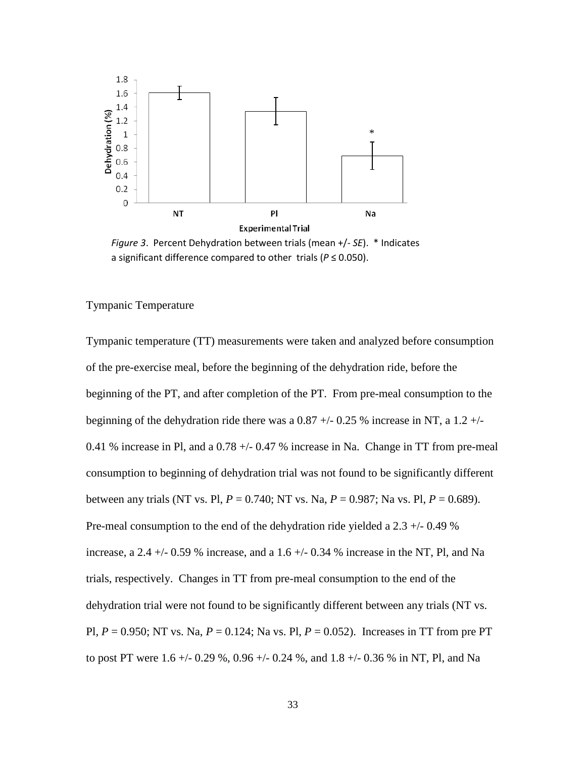

*Figure 3*. Percent Dehydration between trials (mean +/- *SE*). \* Indicates a significant difference compared to other trials (*P* ≤ 0.050).

#### Tympanic Temperature

Tympanic temperature (TT) measurements were taken and analyzed before consumption of the pre-exercise meal, before the beginning of the dehydration ride, before the beginning of the PT, and after completion of the PT. From pre-meal consumption to the beginning of the dehydration ride there was a  $0.87 +/-0.25$  % increase in NT, a  $1.2 +/-$ 0.41 % increase in Pl, and a  $0.78 +/- 0.47$  % increase in Na. Change in TT from pre-meal consumption to beginning of dehydration trial was not found to be significantly different between any trials (NT vs. Pl, *P* = 0.740; NT vs. Na, *P* = 0.987; Na vs. Pl, *P* = 0.689). Pre-meal consumption to the end of the dehydration ride yielded a 2.3 +/- 0.49 % increase, a 2.4  $+/-$  0.59 % increase, and a 1.6  $+/-$  0.34 % increase in the NT, Pl, and Na trials, respectively. Changes in TT from pre-meal consumption to the end of the dehydration trial were not found to be significantly different between any trials (NT vs. Pl, *P* = 0.950; NT vs. Na, *P* = 0.124; Na vs. Pl, *P* = 0.052). Increases in TT from pre PT to post PT were 1.6 +/- 0.29 %, 0.96 +/- 0.24 %, and 1.8 +/- 0.36 % in NT, Pl, and Na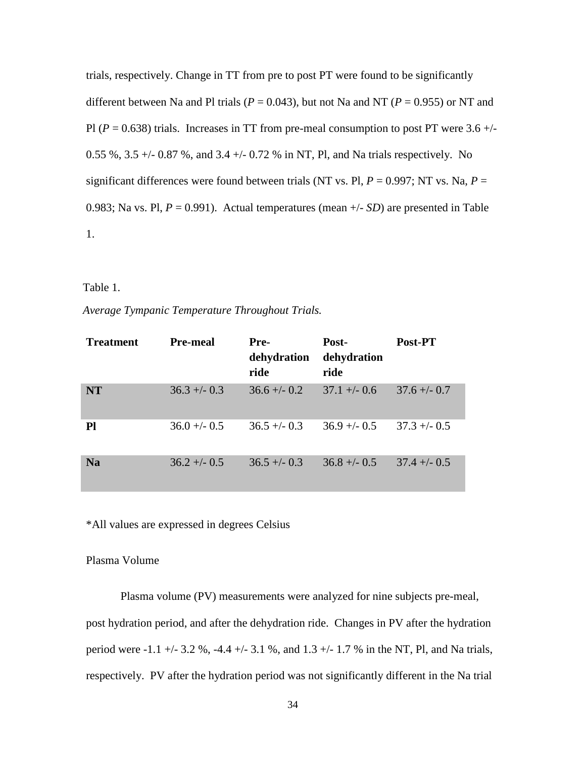trials, respectively. Change in TT from pre to post PT were found to be significantly different between Na and Pl trials ( $P = 0.043$ ), but not Na and NT ( $P = 0.955$ ) or NT and Pl ( $P = 0.638$ ) trials. Increases in TT from pre-meal consumption to post PT were 3.6 +/-0.55 %, 3.5 +/- 0.87 %, and 3.4 +/- 0.72 % in NT, Pl, and Na trials respectively. No significant differences were found between trials (NT vs. Pl,  $P = 0.997$ ; NT vs. Na,  $P =$ 0.983; Na vs. Pl, *P* = 0.991). Actual temperatures (mean +/- *SD*) are presented in Table 1.

## Table 1.

*Average Tympanic Temperature Throughout Trials.* 

| <b>Treatment</b> | <b>Pre-meal</b> | Pre-<br>dehydration<br>ride | Post-<br>dehydration<br>ride | Post-PT        |
|------------------|-----------------|-----------------------------|------------------------------|----------------|
| <b>NT</b>        | $36.3 + -0.3$   | $36.6 + -0.2$               | $37.1 + -0.6$                | $37.6 + -0.7$  |
| Pl               | $36.0 + - 0.5$  | $36.5 + -0.3$               | $36.9 + -0.5$                | $37.3 + -0.5$  |
| <b>Na</b>        | $36.2 + - 0.5$  | $36.5 + -0.3$               | $36.8 + -0.5$                | $37.4 + - 0.5$ |

\*All values are expressed in degrees Celsius

## Plasma Volume

Plasma volume (PV) measurements were analyzed for nine subjects pre-meal, post hydration period, and after the dehydration ride. Changes in PV after the hydration period were -1.1 +/- 3.2 %, -4.4 +/- 3.1 %, and 1.3 +/- 1.7 % in the NT, Pl, and Na trials, respectively. PV after the hydration period was not significantly different in the Na trial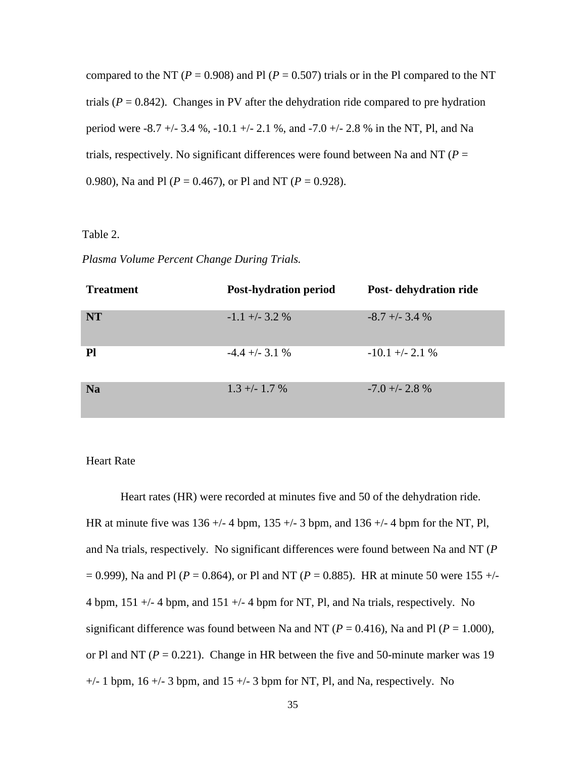compared to the NT ( $P = 0.908$ ) and Pl ( $P = 0.507$ ) trials or in the Pl compared to the NT trials ( $P = 0.842$ ). Changes in PV after the dehydration ride compared to pre hydration period were -8.7 +/- 3.4 %, -10.1 +/- 2.1 %, and -7.0 +/- 2.8 % in the NT, Pl, and Na trials, respectively. No significant differences were found between Na and NT ( $P =$ 0.980), Na and Pl (*P* = 0.467), or Pl and NT (*P* = 0.928).

## Table 2.

| <b>Treatment</b> | <b>Post-hydration period</b> | Post-dehydration ride |
|------------------|------------------------------|-----------------------|
| <b>NT</b>        | $-1.1 + -3.2$ %              | $-8.7 + -3.4%$        |
| Pl               | $-4.4 + (-3.1 %$             | $-10.1 + -2.1$ %      |
| <b>Na</b>        | $1.3 + - 1.7$ %              | $-7.0 + -2.8$ %       |

#### Heart Rate

Heart rates (HR) were recorded at minutes five and 50 of the dehydration ride. HR at minute five was  $136 + (-4)$  bpm,  $135 + (-3)$  bpm, and  $136 + (-4)$  bpm for the NT, Pl, and Na trials, respectively. No significant differences were found between Na and NT (*P*  $= 0.999$ ), Na and Pl ( $P = 0.864$ ), or Pl and NT ( $P = 0.885$ ). HR at minute 50 were 155 +/-4 bpm, 151 +/- 4 bpm, and 151 +/- 4 bpm for NT, Pl, and Na trials, respectively. No significant difference was found between Na and NT ( $P = 0.416$ ), Na and Pl ( $P = 1.000$ ), or Pl and NT ( $P = 0.221$ ). Change in HR between the five and 50-minute marker was 19  $+/- 1$  bpm, 16  $+/- 3$  bpm, and 15  $+/- 3$  bpm for NT, Pl, and Na, respectively. No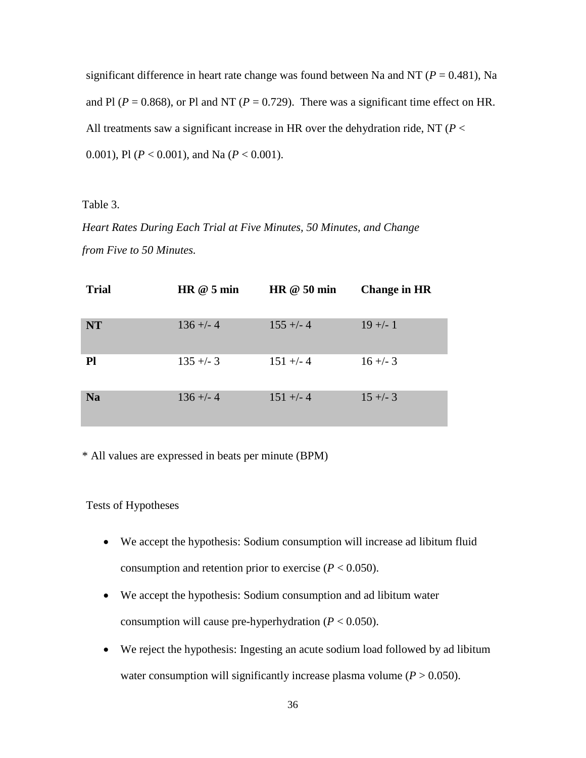significant difference in heart rate change was found between Na and NT ( $P = 0.481$ ), Na and Pl ( $P = 0.868$ ), or Pl and NT ( $P = 0.729$ ). There was a significant time effect on HR. All treatments saw a significant increase in HR over the dehydration ride, NT (*P* < 0.001), Pl (*P* < 0.001), and Na (*P* < 0.001).

Table 3.

*Heart Rates During Each Trial at Five Minutes, 50 Minutes, and Change from Five to 50 Minutes.*

| <b>Trial</b> | HR @ 5 min | HR $@$ 50 min | <b>Change in HR</b> |
|--------------|------------|---------------|---------------------|
| <b>NT</b>    | $136 + -4$ | $155 + -4$    | $19 +/- 1$          |
| Pl           | $135 + -3$ | $151 +/- 4$   | $16 + -3$           |
| <b>Na</b>    | $136 + -4$ | $151 +/- 4$   | $15 +/- 3$          |

\* All values are expressed in beats per minute (BPM)

Tests of Hypotheses

- We accept the hypothesis: Sodium consumption will increase ad libitum fluid consumption and retention prior to exercise  $(P < 0.050)$ .
- We accept the hypothesis: Sodium consumption and ad libitum water consumption will cause pre-hyperhydration (*P* < 0.050).
- We reject the hypothesis: Ingesting an acute sodium load followed by ad libitum water consumption will significantly increase plasma volume  $(P > 0.050)$ .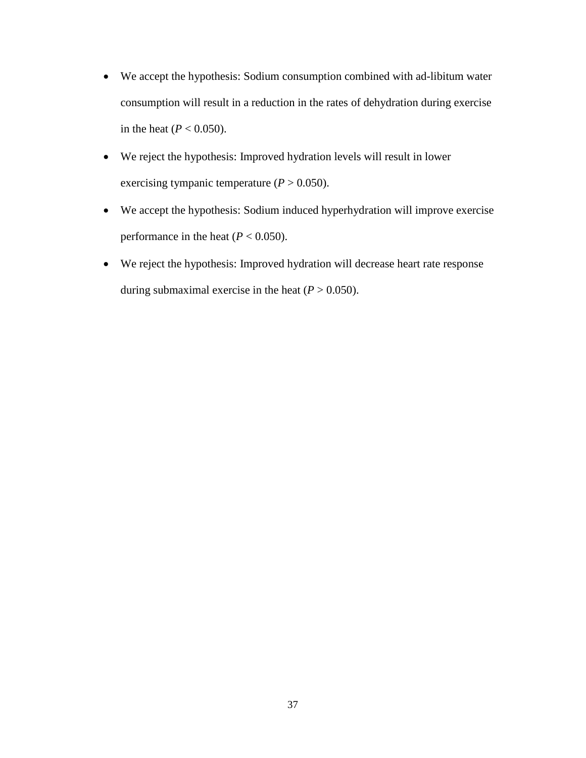- We accept the hypothesis: Sodium consumption combined with ad-libitum water consumption will result in a reduction in the rates of dehydration during exercise in the heat  $(P < 0.050)$ .
- We reject the hypothesis: Improved hydration levels will result in lower exercising tympanic temperature  $(P > 0.050)$ .
- We accept the hypothesis: Sodium induced hyperhydration will improve exercise performance in the heat  $(P < 0.050)$ .
- We reject the hypothesis: Improved hydration will decrease heart rate response during submaximal exercise in the heat  $(P > 0.050)$ .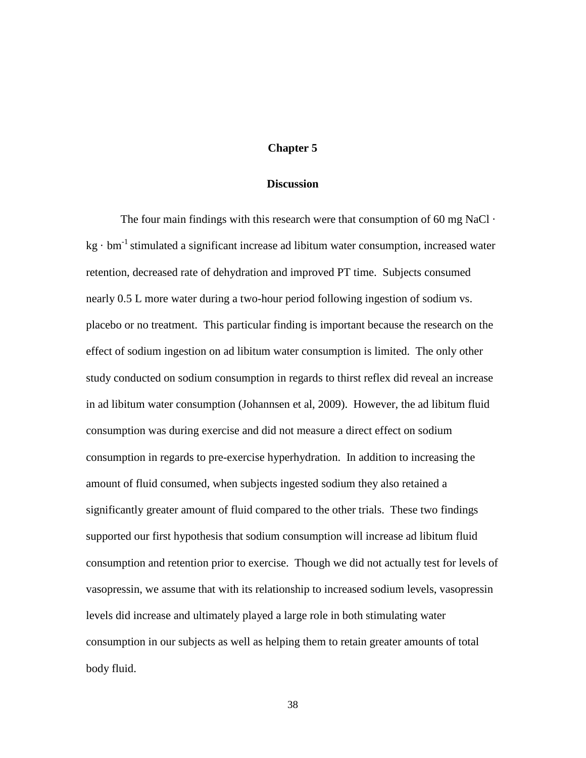## **Chapter 5**

#### **Discussion**

The four main findings with this research were that consumption of 60 mg NaCl  $\cdot$  $kg \cdot bm^{-1}$  stimulated a significant increase ad libitum water consumption, increased water retention, decreased rate of dehydration and improved PT time. Subjects consumed nearly 0.5 L more water during a two-hour period following ingestion of sodium vs. placebo or no treatment. This particular finding is important because the research on the effect of sodium ingestion on ad libitum water consumption is limited. The only other study conducted on sodium consumption in regards to thirst reflex did reveal an increase in ad libitum water consumption (Johannsen et al, 2009). However, the ad libitum fluid consumption was during exercise and did not measure a direct effect on sodium consumption in regards to pre-exercise hyperhydration. In addition to increasing the amount of fluid consumed, when subjects ingested sodium they also retained a significantly greater amount of fluid compared to the other trials. These two findings supported our first hypothesis that sodium consumption will increase ad libitum fluid consumption and retention prior to exercise. Though we did not actually test for levels of vasopressin, we assume that with its relationship to increased sodium levels, vasopressin levels did increase and ultimately played a large role in both stimulating water consumption in our subjects as well as helping them to retain greater amounts of total body fluid.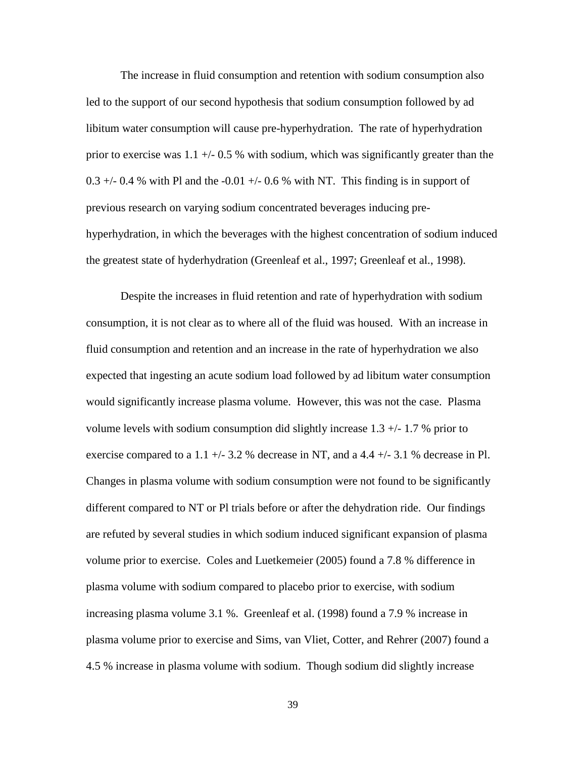The increase in fluid consumption and retention with sodium consumption also led to the support of our second hypothesis that sodium consumption followed by ad libitum water consumption will cause pre-hyperhydration. The rate of hyperhydration prior to exercise was  $1.1 + (-0.5 \% \text{ with sodium, which was significantly greater than the$  $0.3 +/- 0.4$  % with Pl and the  $-0.01 +/- 0.6$  % with NT. This finding is in support of previous research on varying sodium concentrated beverages inducing prehyperhydration, in which the beverages with the highest concentration of sodium induced the greatest state of hyderhydration (Greenleaf et al., 1997; Greenleaf et al., 1998).

Despite the increases in fluid retention and rate of hyperhydration with sodium consumption, it is not clear as to where all of the fluid was housed. With an increase in fluid consumption and retention and an increase in the rate of hyperhydration we also expected that ingesting an acute sodium load followed by ad libitum water consumption would significantly increase plasma volume. However, this was not the case. Plasma volume levels with sodium consumption did slightly increase  $1.3 +/- 1.7$  % prior to exercise compared to a 1.1  $+/-$  3.2 % decrease in NT, and a 4.4  $+/-$  3.1 % decrease in Pl. Changes in plasma volume with sodium consumption were not found to be significantly different compared to NT or Pl trials before or after the dehydration ride. Our findings are refuted by several studies in which sodium induced significant expansion of plasma volume prior to exercise. Coles and Luetkemeier (2005) found a 7.8 % difference in plasma volume with sodium compared to placebo prior to exercise, with sodium increasing plasma volume 3.1 %. Greenleaf et al. (1998) found a 7.9 % increase in plasma volume prior to exercise and Sims, van Vliet, Cotter, and Rehrer (2007) found a 4.5 % increase in plasma volume with sodium. Though sodium did slightly increase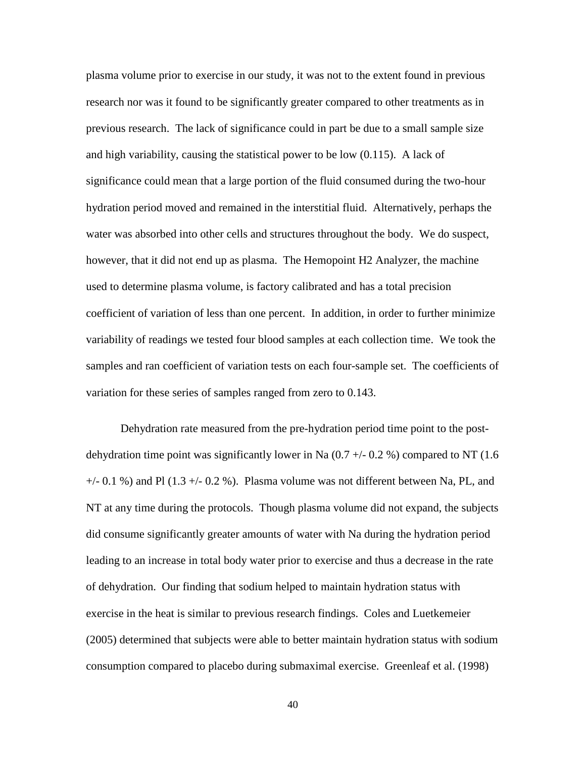plasma volume prior to exercise in our study, it was not to the extent found in previous research nor was it found to be significantly greater compared to other treatments as in previous research. The lack of significance could in part be due to a small sample size and high variability, causing the statistical power to be low (0.115). A lack of significance could mean that a large portion of the fluid consumed during the two-hour hydration period moved and remained in the interstitial fluid. Alternatively, perhaps the water was absorbed into other cells and structures throughout the body. We do suspect, however, that it did not end up as plasma. The Hemopoint H2 Analyzer, the machine used to determine plasma volume, is factory calibrated and has a total precision coefficient of variation of less than one percent. In addition, in order to further minimize variability of readings we tested four blood samples at each collection time. We took the samples and ran coefficient of variation tests on each four-sample set. The coefficients of variation for these series of samples ranged from zero to 0.143.

Dehydration rate measured from the pre-hydration period time point to the postdehydration time point was significantly lower in Na  $(0.7 + 0.2 \%)$  compared to NT  $(1.6 \times 10^{-14})$  $+/-$  0.1 %) and Pl (1.3  $+/-$  0.2 %). Plasma volume was not different between Na, PL, and NT at any time during the protocols. Though plasma volume did not expand, the subjects did consume significantly greater amounts of water with Na during the hydration period leading to an increase in total body water prior to exercise and thus a decrease in the rate of dehydration. Our finding that sodium helped to maintain hydration status with exercise in the heat is similar to previous research findings. Coles and Luetkemeier (2005) determined that subjects were able to better maintain hydration status with sodium consumption compared to placebo during submaximal exercise. Greenleaf et al. (1998)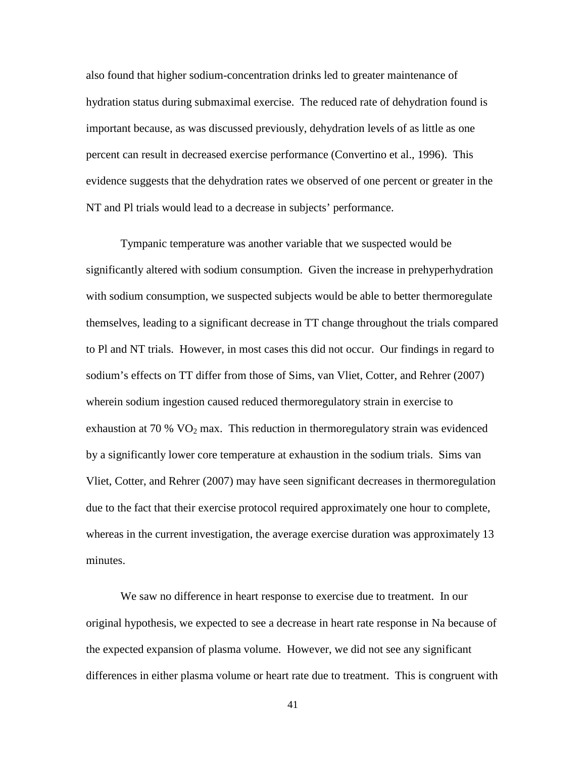also found that higher sodium-concentration drinks led to greater maintenance of hydration status during submaximal exercise. The reduced rate of dehydration found is important because, as was discussed previously, dehydration levels of as little as one percent can result in decreased exercise performance (Convertino et al., 1996). This evidence suggests that the dehydration rates we observed of one percent or greater in the NT and Pl trials would lead to a decrease in subjects' performance.

Tympanic temperature was another variable that we suspected would be significantly altered with sodium consumption. Given the increase in prehyperhydration with sodium consumption, we suspected subjects would be able to better thermoregulate themselves, leading to a significant decrease in TT change throughout the trials compared to Pl and NT trials. However, in most cases this did not occur. Our findings in regard to sodium's effects on TT differ from those of Sims, van Vliet, Cotter, and Rehrer (2007) wherein sodium ingestion caused reduced thermoregulatory strain in exercise to exhaustion at 70 %  $VO<sub>2</sub>$  max. This reduction in thermoregulatory strain was evidenced by a significantly lower core temperature at exhaustion in the sodium trials. Sims van Vliet, Cotter, and Rehrer (2007) may have seen significant decreases in thermoregulation due to the fact that their exercise protocol required approximately one hour to complete, whereas in the current investigation, the average exercise duration was approximately 13 minutes.

We saw no difference in heart response to exercise due to treatment. In our original hypothesis, we expected to see a decrease in heart rate response in Na because of the expected expansion of plasma volume. However, we did not see any significant differences in either plasma volume or heart rate due to treatment. This is congruent with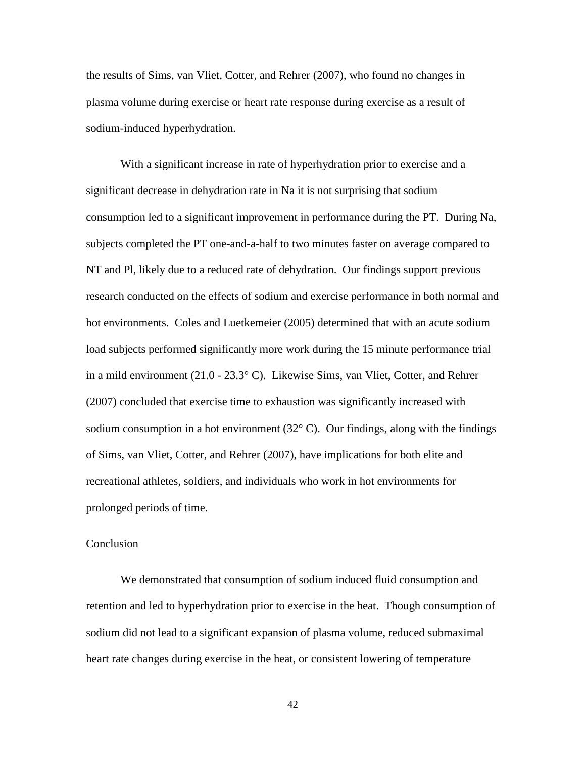the results of Sims, van Vliet, Cotter, and Rehrer (2007), who found no changes in plasma volume during exercise or heart rate response during exercise as a result of sodium-induced hyperhydration.

With a significant increase in rate of hyperhydration prior to exercise and a significant decrease in dehydration rate in Na it is not surprising that sodium consumption led to a significant improvement in performance during the PT. During Na, subjects completed the PT one-and-a-half to two minutes faster on average compared to NT and Pl, likely due to a reduced rate of dehydration. Our findings support previous research conducted on the effects of sodium and exercise performance in both normal and hot environments. Coles and Luetkemeier (2005) determined that with an acute sodium load subjects performed significantly more work during the 15 minute performance trial in a mild environment (21.0 - 23.3° C). Likewise Sims, van Vliet, Cotter, and Rehrer (2007) concluded that exercise time to exhaustion was significantly increased with sodium consumption in a hot environment  $(32^{\circ} \text{ C})$ . Our findings, along with the findings of Sims, van Vliet, Cotter, and Rehrer (2007), have implications for both elite and recreational athletes, soldiers, and individuals who work in hot environments for prolonged periods of time.

#### **Conclusion**

We demonstrated that consumption of sodium induced fluid consumption and retention and led to hyperhydration prior to exercise in the heat. Though consumption of sodium did not lead to a significant expansion of plasma volume, reduced submaximal heart rate changes during exercise in the heat, or consistent lowering of temperature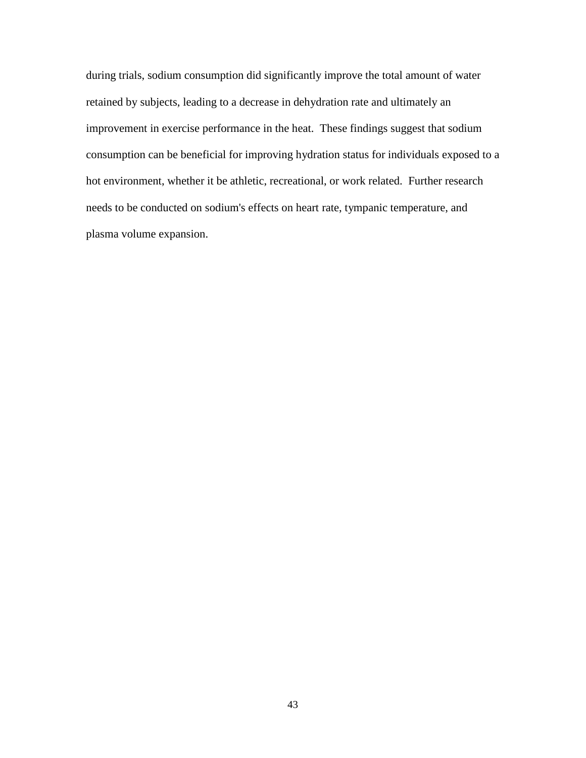during trials, sodium consumption did significantly improve the total amount of water retained by subjects, leading to a decrease in dehydration rate and ultimately an improvement in exercise performance in the heat. These findings suggest that sodium consumption can be beneficial for improving hydration status for individuals exposed to a hot environment, whether it be athletic, recreational, or work related. Further research needs to be conducted on sodium's effects on heart rate, tympanic temperature, and plasma volume expansion.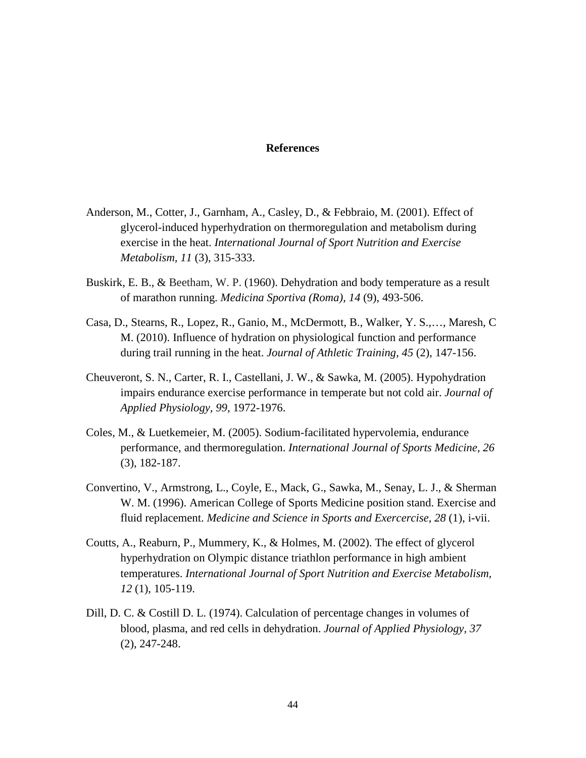# **References**

- Anderson, M., Cotter, J., Garnham, A., Casley, D., & Febbraio, M. (2001). Effect of glycerol-induced hyperhydration on thermoregulation and metabolism during exercise in the heat. *International Journal of Sport Nutrition and Exercise Metabolism, 11* (3), 315-333.
- Buskirk, E. B., & Beetham, W. P. (1960). Dehydration and body temperature as a result of marathon running. *Medicina Sportiva (Roma), 14* (9), 493-506.
- Casa, D., Stearns, R., Lopez, R., Ganio, M., McDermott, B., Walker, Y. S.,…, Maresh, C M. (2010). Influence of hydration on physiological function and performance during trail running in the heat. *Journal of Athletic Training, 45* (2), 147-156.
- Cheuveront, S. N., Carter, R. I., Castellani, J. W., & Sawka, M. (2005). Hypohydration impairs endurance exercise performance in temperate but not cold air. *Journal of Applied Physiology, 99*, 1972-1976.
- Coles, M., & Luetkemeier, M. (2005). Sodium-facilitated hypervolemia, endurance performance, and thermoregulation. *International Journal of Sports Medicine, 26* (3), 182-187.
- Convertino, V., Armstrong, L., Coyle, E., Mack, G., Sawka, M., Senay, L. J., & Sherman W. M. (1996). American College of Sports Medicine position stand. Exercise and fluid replacement. *Medicine and Science in Sports and Exercercise, 28* (1), i-vii.
- Coutts, A., Reaburn, P., Mummery, K., & Holmes, M. (2002). The effect of glycerol hyperhydration on Olympic distance triathlon performance in high ambient temperatures. *International Journal of Sport Nutrition and Exercise Metabolism, 12* (1), 105-119.
- Dill, D. C. & Costill D. L. (1974). Calculation of percentage changes in volumes of blood, plasma, and red cells in dehydration. *Journal of Applied Physiology, 37* (2), 247-248.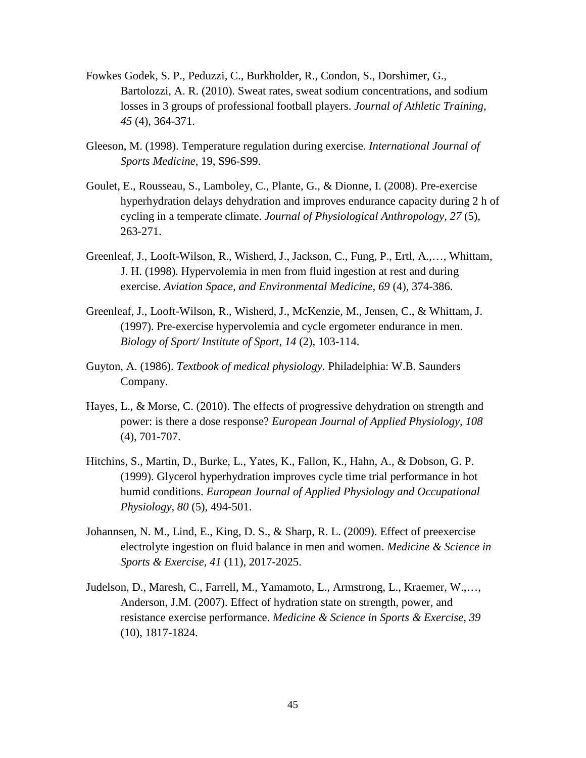- Fowkes Godek, S. P., Peduzzi, C., Burkholder, R., Condon, S., Dorshimer, G., Bartolozzi, A. R. (2010). Sweat rates, sweat sodium concentrations, and sodium losses in 3 groups of professional football players. *Journal of Athletic Training, 45* (4), 364-371.
- Gleeson, M. (1998). Temperature regulation during exercise. *International Journal of Sports Medicine*, 19, S96-S99.
- Goulet, E., Rousseau, S., Lamboley, C., Plante, G., & Dionne, I. (2008). Pre-exercise hyperhydration delays dehydration and improves endurance capacity during 2 h of cycling in a temperate climate. *Journal of Physiological Anthropology, 27* (5), 263-271.
- Greenleaf, J., Looft-Wilson, R., Wisherd, J., Jackson, C., Fung, P., Ertl, A.,…, Whittam, J. H. (1998). Hypervolemia in men from fluid ingestion at rest and during exercise. *Aviation Space, and Environmental Medicine, 69* (4), 374-386.
- Greenleaf, J., Looft-Wilson, R., Wisherd, J., McKenzie, M., Jensen, C., & Whittam, J. (1997). Pre-exercise hypervolemia and cycle ergometer endurance in men. *Biology of Sport/ Institute of Sport, 14* (2), 103-114.
- Guyton, A. (1986). *Textbook of medical physiology.* Philadelphia: W.B. Saunders Company.
- Hayes, L., & Morse, C. (2010). The effects of progressive dehydration on strength and power: is there a dose response? *European Journal of Applied Physiology, 108* (4), 701-707.
- Hitchins, S., Martin, D., Burke, L., Yates, K., Fallon, K., Hahn, A., & Dobson, G. P. (1999). Glycerol hyperhydration improves cycle time trial performance in hot humid conditions. *European Journal of Applied Physiology and Occupational Physiology, 80* (5), 494-501.
- Johannsen, N. M., Lind, E., King, D. S., & Sharp, R. L. (2009). Effect of preexercise electrolyte ingestion on fluid balance in men and women. *Medicine & Science in Sports & Exercise, 41* (11), 2017-2025.
- Judelson, D., Maresh, C., Farrell, M., Yamamoto, L., Armstrong, L., Kraemer, W.,…, Anderson, J.M. (2007). Effect of hydration state on strength, power, and resistance exercise performance. *Medicine & Science in Sports & Exercise, 39* (10), 1817-1824.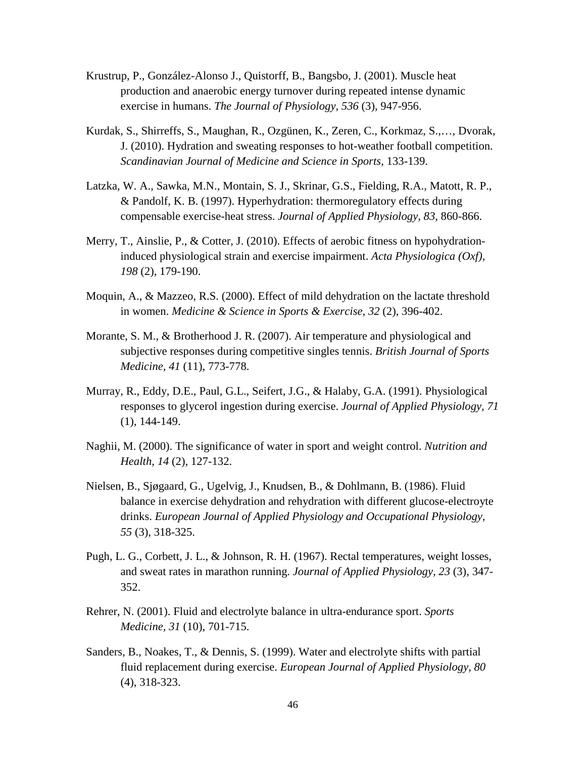- Krustrup, P., González-Alonso J., Quistorff, B., Bangsbo, J. (2001). Muscle heat production and anaerobic energy turnover during repeated intense dynamic exercise in humans. *The Journal of Physiology, 536* (3), 947-956.
- Kurdak, S., Shirreffs, S., Maughan, R., Ozgünen, K., Zeren, C., Korkmaz, S.,…, Dvorak, J. (2010). Hydration and sweating responses to hot-weather football competition. *Scandinavian Journal of Medicine and Science in Sports*, 133-139.
- Latzka, W. A., Sawka, M.N., Montain, S. J., Skrinar, G.S., Fielding, R.A., Matott, R. P., & Pandolf, K. B. (1997). Hyperhydration: thermoregulatory effects during compensable exercise-heat stress. *Journal of Applied Physiology, 83*, 860-866.
- Merry, T., Ainslie, P., & Cotter, J. (2010). Effects of aerobic fitness on hypohydrationinduced physiological strain and exercise impairment. *Acta Physiologica (Oxf), 198* (2), 179-190.
- Moquin, A., & Mazzeo, R.S. (2000). Effect of mild dehydration on the lactate threshold in women. *Medicine & Science in Sports & Exercise, 32* (2), 396-402.
- Morante, S. M., & Brotherhood J. R. (2007). Air temperature and physiological and subjective responses during competitive singles tennis. *British Journal of Sports Medicine, 41* (11), 773-778.
- Murray, R., Eddy, D.E., Paul, G.L., Seifert, J.G., & Halaby, G.A. (1991). Physiological responses to glycerol ingestion during exercise. *Journal of Applied Physiology, 71* (1), 144-149.
- Naghii, M. (2000). The significance of water in sport and weight control. *Nutrition and Health, 14* (2), 127-132.
- Nielsen, B., Sjøgaard, G., Ugelvig, J., Knudsen, B., & Dohlmann, B. (1986). Fluid balance in exercise dehydration and rehydration with different glucose-electroyte drinks. *European Journal of Applied Physiology and Occupational Physiology, 55* (3), 318-325.
- Pugh, L. G., Corbett, J. L., & Johnson, R. H. (1967). Rectal temperatures, weight losses, and sweat rates in marathon running. *Journal of Applied Physiology, 23* (3), 347- 352.
- Rehrer, N. (2001). Fluid and electrolyte balance in ultra-endurance sport. *Sports Medicine, 31* (10), 701-715.
- Sanders, B., Noakes, T., & Dennis, S. (1999). Water and electrolyte shifts with partial fluid replacement during exercise. *European Journal of Applied Physiology, 80* (4), 318-323.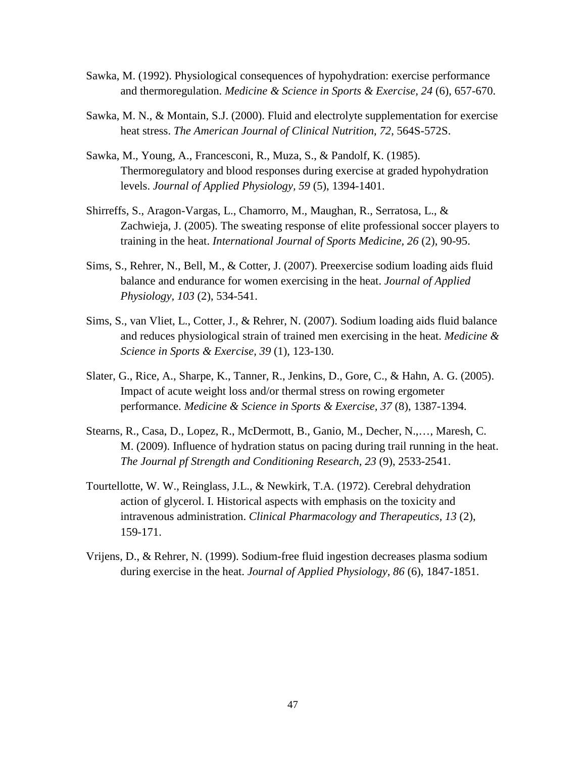- Sawka, M. (1992). Physiological consequences of hypohydration: exercise performance and thermoregulation. *Medicine & Science in Sports & Exercise, 24* (6), 657-670.
- Sawka, M. N., & Montain, S.J. (2000). Fluid and electrolyte supplementation for exercise heat stress. *The American Journal of Clinical Nutrition, 72*, 564S-572S.
- Sawka, M., Young, A., Francesconi, R., Muza, S., & Pandolf, K. (1985). Thermoregulatory and blood responses during exercise at graded hypohydration levels. *Journal of Applied Physiology, 59* (5), 1394-1401.
- Shirreffs, S., Aragon-Vargas, L., Chamorro, M., Maughan, R., Serratosa, L., & Zachwieja, J. (2005). The sweating response of elite professional soccer players to training in the heat. *International Journal of Sports Medicine, 26* (2), 90-95.
- Sims, S., Rehrer, N., Bell, M., & Cotter, J. (2007). Preexercise sodium loading aids fluid balance and endurance for women exercising in the heat. *Journal of Applied Physiology, 103* (2), 534-541.
- Sims, S., van Vliet, L., Cotter, J., & Rehrer, N. (2007). Sodium loading aids fluid balance and reduces physiological strain of trained men exercising in the heat. *Medicine & Science in Sports & Exercise, 39* (1), 123-130.
- Slater, G., Rice, A., Sharpe, K., Tanner, R., Jenkins, D., Gore, C., & Hahn, A. G. (2005). Impact of acute weight loss and/or thermal stress on rowing ergometer performance. *Medicine & Science in Sports & Exercise, 37* (8), 1387-1394.
- Stearns, R., Casa, D., Lopez, R., McDermott, B., Ganio, M., Decher, N.,…, Maresh, C. M. (2009). Influence of hydration status on pacing during trail running in the heat. *The Journal pf Strength and Conditioning Research, 23* (9), 2533-2541.
- Tourtellotte, W. W., Reinglass, J.L., & Newkirk, T.A. (1972). Cerebral dehydration action of glycerol. I. Historical aspects with emphasis on the toxicity and intravenous administration. *Clinical Pharmacology and Therapeutics, 13* (2), 159-171.
- Vrijens, D., & Rehrer, N. (1999). Sodium-free fluid ingestion decreases plasma sodium during exercise in the heat. *Journal of Applied Physiology, 86* (6), 1847-1851.